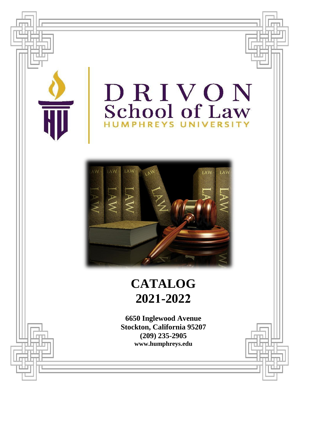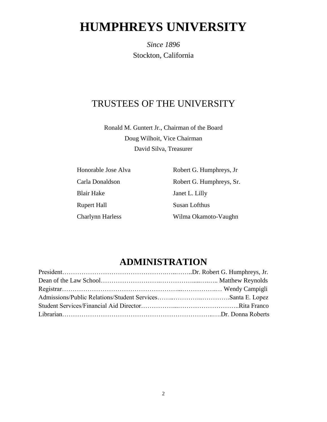# **HUMPHREYS UNIVERSITY**

*Since 1896* Stockton, California

## TRUSTEES OF THE UNIVERSITY

Ronald M. Guntert Jr., Chairman of the Board Doug Wilhoit, Vice Chairman David Silva, Treasurer

| Honorable Jose Alva     | Robert G. Humphreys, Jr. |
|-------------------------|--------------------------|
| Carla Donaldson         | Robert G. Humphreys, Sr. |
| <b>Blair Hake</b>       | Janet L. Lilly           |
| <b>Rupert Hall</b>      | Susan Lofthus            |
| <b>Charlynn Harless</b> | Wilma Okamoto-Vaughn     |

# **ADMINISTRATION**

<span id="page-1-0"></span>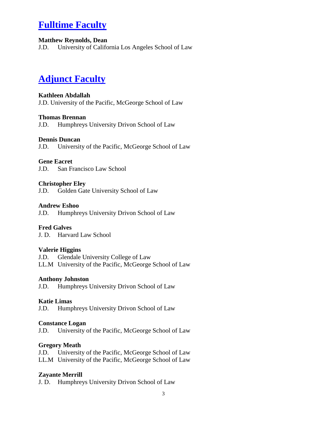# **Fulltime Faculty**

## **Matthew Reynolds, Dean**

J.D. University of California Los Angeles School of Law

# **Adjunct Faculty**

#### **Kathleen Abdallah**

J.D. University of the Pacific, McGeorge School of Law

#### **Thomas Brennan**

J.D. Humphreys University Drivon School of Law

#### **Dennis Duncan**

J.D. University of the Pacific, McGeorge School of Law

#### **Gene Eacret**

J.D. San Francisco Law School

#### **Christopher Eley**

J.D. Golden Gate University School of Law

#### **Andrew Eshoo**

J.D. Humphreys University Drivon School of Law

## **Fred Galves**

J. D. Harvard Law School

#### **Valerie Higgins**

J.D. Glendale University College of Law

LL.M University of the Pacific, McGeorge School of Law

#### **Anthony Johnston**

J.D. Humphreys University Drivon School of Law

#### **Katie Limas**

J.D. Humphreys University Drivon School of Law

#### **Constance Logan**

J.D. University of the Pacific, McGeorge School of Law

#### **Gregory Meath**

J.D. University of the Pacific, McGeorge School of Law LL.M University of the Pacific, McGeorge School of Law

## **Zayante Merrill**

J. D. Humphreys University Drivon School of Law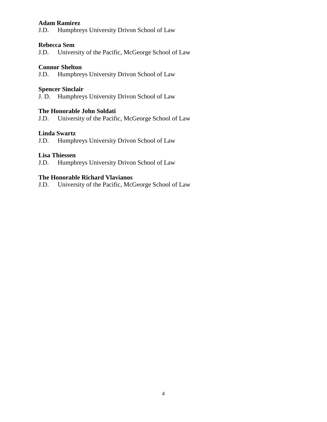#### **Adam Ramirez**

J.D. Humphreys University Drivon School of Law

#### **Rebecca Sem**

J.D. University of the Pacific, McGeorge School of Law

#### **Connor Shelton**

J.D. Humphreys University Drivon School of Law

#### **Spencer Sinclair**

J. D. Humphreys University Drivon School of Law

#### **The Honorable John Soldati**

J.D. University of the Pacific, McGeorge School of Law

#### **Linda Swartz**

J.D. Humphreys University Drivon School of Law

#### **Lisa Thiessen**

J.D. Humphreys University Drivon School of Law

#### **The Honorable Richard Vlavianos**

J.D. University of the Pacific, McGeorge School of Law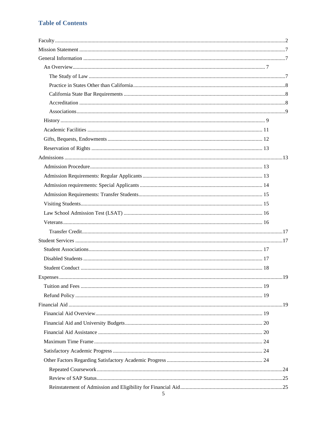## **Table of Contents**

| 5 |  |
|---|--|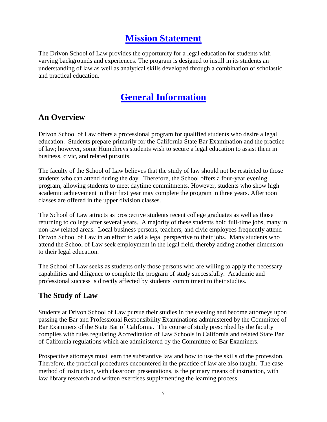# **Mission Statement**

<span id="page-6-0"></span>The Drivon School of Law provides the opportunity for a legal education for students with varying backgrounds and experiences. The program is designed to instill in its students an understanding of law as well as analytical skills developed through a combination of scholastic and practical education.

# **General Information**

## <span id="page-6-2"></span><span id="page-6-1"></span>**An Overview**

Drivon School of Law offers a professional program for qualified students who desire a legal education. Students prepare primarily for the California State Bar Examination and the practice of law; however, some Humphreys students wish to secure a legal education to assist them in business, civic, and related pursuits.

The faculty of the School of Law believes that the study of law should not be restricted to those students who can attend during the day. Therefore, the School offers a four-year evening program, allowing students to meet daytime commitments. However, students who show high academic achievement in their first year may complete the program in three years. Afternoon classes are offered in the upper division classes.

The School of Law attracts as prospective students recent college graduates as well as those returning to college after several years. A majority of these students hold full-time jobs, many in non-law related areas. Local business persons, teachers, and civic employees frequently attend Drivon School of Law in an effort to add a legal perspective to their jobs. Many students who attend the School of Law seek employment in the legal field, thereby adding another dimension to their legal education.

The School of Law seeks as students only those persons who are willing to apply the necessary capabilities and diligence to complete the program of study successfully. Academic and professional success is directly affected by students' commitment to their studies.

## <span id="page-6-3"></span>**The Study of Law**

Students at Drivon School of Law pursue their studies in the evening and become attorneys upon passing the Bar and Professional Responsibility Examinations administered by the Committee of Bar Examiners of the State Bar of California. The course of study prescribed by the faculty complies with rules regulating Accreditation of Law Schools in California and related State Bar of California regulations which are administered by the Committee of Bar Examiners.

Prospective attorneys must learn the substantive law and how to use the skills of the profession. Therefore, the practical procedures encountered in the practice of law are also taught. The case method of instruction, with classroom presentations, is the primary means of instruction, with law library research and written exercises supplementing the learning process.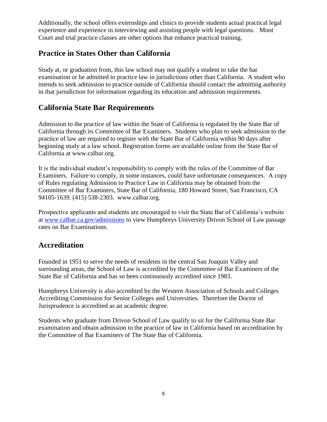Additionally, the school offers externships and clinics to provide students actual practical legal experience and experience in interviewing and assisting people with legal questions. Moot Court and trial practice classes are other options that enhance practical training.

## <span id="page-7-0"></span>**Practice in States Other than California**

Study at, or graduation from, this law school may not qualify a student to take the bar examination or be admitted to practice law in jurisdictions other than California. A student who intends to seek admission to practice outside of California should contact the admitting authority in that jurisdiction for information regarding its education and admission requirements.

## <span id="page-7-1"></span>**California State Bar Requirements**

Admission to the practice of law within the State of California is regulated by the State Bar of California through its Committee of Bar Examiners. Students who plan to seek admission to the practice of law are required to register with the State Bar of California within 90 days after beginning study at a law school. Registration forms are available online from the State Bar of California at www.calbar.org.

It is the individual student's responsibility to comply with the rules of the Committee of Bar Examiners. Failure to comply, in some instances, could have unfortunate consequences. A copy of Rules regulating Admission to Practice Law in California may be obtained from the Committee of Bar Examiners, State Bar of California, 180 Howard Street, San Francisco, CA 94105-1639. (415) 538-2303. [www.calbar.org.](http://www.calbar.org/)

Prospective applicants and students are encouraged to visit the State Bar of California's website at [www.calbar.ca.gov/admissions](http://www.calbar.ca.gov/admissions) to view Humphreys University Drivon School of Law passage rates on Bar Examinations.

## <span id="page-7-2"></span>**Accreditation**

Founded in 1951 to serve the needs of residents in the central San Joaquin Valley and surrounding areas, the School of Law is accredited by the Committee of Bar Examiners of the State Bar of California and has so been continuously accredited since 1983.

Humphreys University is also accredited by the Western Association of Schools and Colleges Accrediting Commission for Senior Colleges and Universities. Therefore the Doctor of Jurisprudence is accredited as an academic degree.

Students who graduate from Drivon School of Law qualify to sit for the California State Bar examination and obtain admission to the practice of law in California based on accreditation by the Committee of Bar Examiners of The State Bar of California.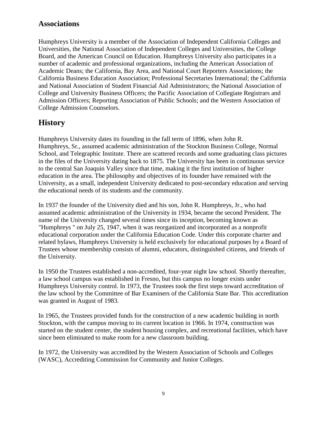## <span id="page-8-0"></span>**Associations**

Humphreys University is a member of the Association of Independent California Colleges and Universities, the National Association of Independent Colleges and Universities, the College Board, and the American Council on Education. Humphreys University also participates in a number of academic and professional organizations, including the American Association of Academic Deans; the California, Bay Area, and National Court Reporters Associations; the California Business Education Association; Professional Secretaries International; the California and National Association of Student Financial Aid Administrators; the National Association of College and University Business Officers; the Pacific Association of Collegiate Registrars and Admission Officers; Reporting Association of Public Schools; and the Western Association of College Admission Counselors.

## <span id="page-8-1"></span>**History**

Humphreys University dates its founding in the fall term of 1896, when John R. Humphreys, Sr., assumed academic administration of the Stockton Business College, Normal School, and Telegraphic Institute. There are scattered records and some graduating class pictures in the files of the University dating back to 1875. The University has been in continuous service to the central San Joaquin Valley since that time, making it the first institution of higher education in the area. The philosophy and objectives of its founder have remained with the University, as a small, independent University dedicated to post-secondary education and serving the educational needs of its students and the community.

In 1937 the founder of the University died and his son, John R. Humphreys, Jr., who had assumed academic administration of the University in 1934, became the second President. The name of the University changed several times since its inception, becoming known as "Humphreys " on July 25, 1947, when it was reorganized and incorporated as a nonprofit educational corporation under the California Education Code. Under this corporate charter and related bylaws, Humphreys University is held exclusively for educational purposes by a Board of Trustees whose membership consists of alumni, educators, distinguished citizens, and friends of the University.

In 1950 the Trustees established a non-accredited, four-year night law school. Shortly thereafter, a law school campus was established in Fresno, but this campus no longer exists under Humphreys University control. In 1973, the Trustees took the first steps toward accreditation of the law school by the Committee of Bar Examiners of the California State Bar. This accreditation was granted in August of 1983.

In 1965, the Trustees provided funds for the construction of a new academic building in north Stockton, with the campus moving to its current location in 1966. In 1974, construction was started on the student center, the student housing complex, and recreational facilities, which have since been eliminated to make room for a new classroom building.

In 1972, the University was accredited by the Western Association of Schools and Colleges (WASC), Accrediting Commission for Community and Junior Colleges.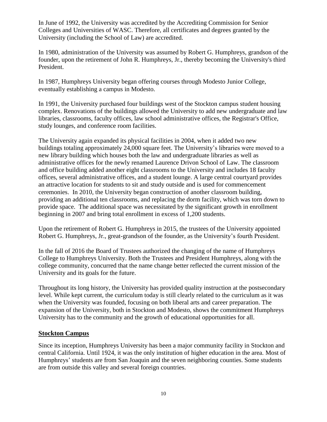In June of 1992, the University was accredited by the Accrediting Commission for Senior Colleges and Universities of WASC. Therefore, all certificates and degrees granted by the University (including the School of Law) are accredited.

In 1980, administration of the University was assumed by Robert G. Humphreys, grandson of the founder, upon the retirement of John R. Humphreys, Jr., thereby becoming the University's third President.

In 1987, Humphreys University began offering courses through Modesto Junior College, eventually establishing a campus in Modesto.

In 1991, the University purchased four buildings west of the Stockton campus student housing complex. Renovations of the buildings allowed the University to add new undergraduate and law libraries, classrooms, faculty offices, law school administrative offices, the Registrar's Office, study lounges, and conference room facilities.

The University again expanded its physical facilities in 2004, when it added two new buildings totaling approximately 24,000 square feet. The University's libraries were moved to a new library building which houses both the law and undergraduate libraries as well as administrative offices for the newly renamed Laurence Drivon School of Law. The classroom and office building added another eight classrooms to the University and includes 18 faculty offices, several administrative offices, and a student lounge. A large central courtyard provides an attractive location for students to sit and study outside and is used for commencement ceremonies. In 2010, the University began construction of another classroom building, providing an additional ten classrooms, and replacing the dorm facility, which was torn down to provide space. The additional space was necessitated by the significant growth in enrollment beginning in 2007 and bring total enrollment in excess of 1,200 students.

Upon the retirement of Robert G. Humphreys in 2015, the trustees of the University appointed Robert G. Humphreys, Jr., great-grandson of the founder, as the University's fourth President.

In the fall of 2016 the Board of Trustees authorized the changing of the name of Humphreys College to Humphreys University. Both the Trustees and President Humphreys, along with the college community, concurred that the name change better reflected the current mission of the University and its goals for the future.

Throughout its long history, the University has provided quality instruction at the postsecondary level. While kept current, the curriculum today is still clearly related to the curriculum as it was when the University was founded, focusing on both liberal arts and career preparation. The expansion of the University, both in Stockton and Modesto, shows the commitment Humphreys University has to the community and the growth of educational opportunities for all.

## **Stockton Campus**

Since its inception, Humphreys University has been a major community facility in Stockton and central California. Until 1924, it was the only institution of higher education in the area. Most of Humphreys' students are from San Joaquin and the seven neighboring counties. Some students are from outside this valley and several foreign countries.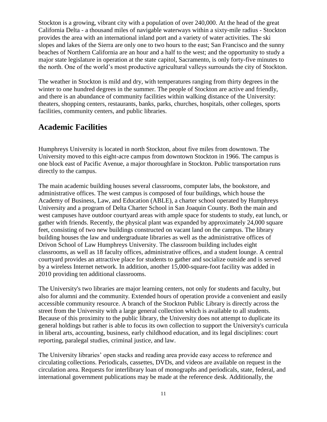Stockton is a growing, vibrant city with a population of over 240,000. At the head of the great California Delta - a thousand miles of navigable waterways within a sixty-mile radius - Stockton provides the area with an international inland port and a variety of water activities. The ski slopes and lakes of the Sierra are only one to two hours to the east; San Francisco and the sunny beaches of Northern California are an hour and a half to the west; and the opportunity to study a major state legislature in operation at the state capitol, Sacramento, is only forty-five minutes to the north. One of the world's most productive agricultural valleys surrounds the city of Stockton.

The weather in Stockton is mild and dry, with temperatures ranging from thirty degrees in the winter to one hundred degrees in the summer. The people of Stockton are active and friendly, and there is an abundance of community facilities within walking distance of the University: theaters, shopping centers, restaurants, banks, parks, churches, hospitals, other colleges, sports facilities, community centers, and public libraries.

## <span id="page-10-0"></span>**Academic Facilities**

Humphreys University is located in north Stockton, about five miles from downtown. The University moved to this eight-acre campus from downtown Stockton in 1966. The campus is one block east of Pacific Avenue, a major thoroughfare in Stockton. Public transportation runs directly to the campus.

The main academic building houses several classrooms, computer labs, the bookstore, and administrative offices. The west campus is composed of four buildings, which house the Academy of Business, Law, and Education (ABLE), a charter school operated by Humphreys University and a program of Delta Charter School in San Joaquin County. Both the main and west campuses have outdoor courtyard areas with ample space for students to study, eat lunch, or gather with friends. Recently, the physical plant was expanded by approximately 24,000 square feet, consisting of two new buildings constructed on vacant land on the campus. The library building houses the law and undergraduate libraries as well as the administrative offices of Drivon School of Law Humphreys University. The classroom building includes eight classrooms, as well as 18 faculty offices, administrative offices, and a student lounge. A central courtyard provides an attractive place for students to gather and socialize outside and is served by a wireless Internet network. In addition, another 15,000-square-foot facility was added in 2010 providing ten additional classrooms.

The University's two libraries are major learning centers, not only for students and faculty, but also for alumni and the community. Extended hours of operation provide a convenient and easily accessible community resource. A branch of the Stockton Public Library is directly across the street from the University with a large general collection which is available to all students. Because of this proximity to the public library, the University does not attempt to duplicate its general holdings but rather is able to focus its own collection to support the University's curricula in liberal arts, accounting, business, early childhood education, and its legal disciplines: court reporting, paralegal studies, criminal justice, and law.

The University libraries' open stacks and reading area provide easy access to reference and circulating collections. Periodicals, cassettes, DVDs, and videos are available on request in the circulation area. Requests for interlibrary loan of monographs and periodicals, state, federal, and international government publications may be made at the reference desk. Additionally, the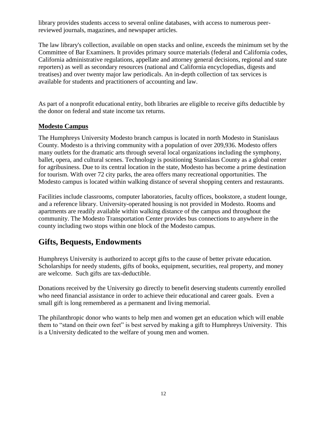library provides students access to several online databases, with access to numerous peerreviewed journals, magazines, and newspaper articles.

The law library's collection, available on open stacks and online, exceeds the minimum set by the Committee of Bar Examiners. It provides primary source materials (federal and California codes, California administrative regulations, appellate and attorney general decisions, regional and state reporters) as well as secondary resources (national and California encyclopedias, digests and treatises) and over twenty major law periodicals. An in-depth collection of tax services is available for students and practitioners of accounting and law.

As part of a nonprofit educational entity, both libraries are eligible to receive gifts deductible by the donor on federal and state income tax returns.

## **Modesto Campus**

The Humphreys University Modesto branch campus is located in north Modesto in Stanislaus County. Modesto is a thriving community with a population of over 209,936. Modesto offers many outlets for the dramatic arts through several local organizations including the symphony, ballet, opera, and cultural scenes. Technology is positioning Stanislaus County as a global center for agribusiness. Due to its central location in the state, Modesto has become a prime destination for tourism. With over 72 city parks, the area offers many recreational opportunities. The Modesto campus is located within walking distance of several shopping centers and restaurants.

Facilities include classrooms, computer laboratories, faculty offices, bookstore, a student lounge, and a reference library. University-operated housing is not provided in Modesto. Rooms and apartments are readily available within walking distance of the campus and throughout the community. The Modesto Transportation Center provides bus connections to anywhere in the county including two stops within one block of the Modesto campus.

## <span id="page-11-0"></span>**Gifts, Bequests, Endowments**

Humphreys University is authorized to accept gifts to the cause of better private education. Scholarships for needy students, gifts of books, equipment, securities, real property, and money are welcome. Such gifts are tax-deductible.

Donations received by the University go directly to benefit deserving students currently enrolled who need financial assistance in order to achieve their educational and career goals. Even a small gift is long remembered as a permanent and living memorial.

The philanthropic donor who wants to help men and women get an education which will enable them to "stand on their own feet" is best served by making a gift to Humphreys University. This is a University dedicated to the welfare of young men and women.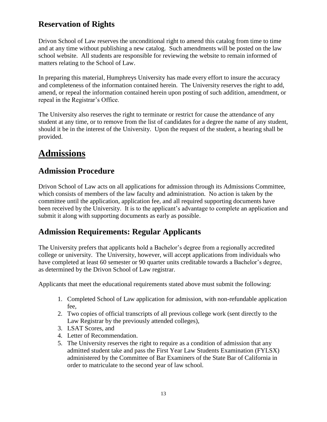## <span id="page-12-0"></span>**Reservation of Rights**

Drivon School of Law reserves the unconditional right to amend this catalog from time to time and at any time without publishing a new catalog. Such amendments will be posted on the law school website. All students are responsible for reviewing the website to remain informed of matters relating to the School of Law.

In preparing this material, Humphreys University has made every effort to insure the accuracy and completeness of the information contained herein. The University reserves the right to add, amend, or repeal the information contained herein upon posting of such addition, amendment, or repeal in the Registrar's Office.

The University also reserves the right to terminate or restrict for cause the attendance of any student at any time, or to remove from the list of candidates for a degree the name of any student, should it be in the interest of the University. Upon the request of the student, a hearing shall be provided.

# <span id="page-12-1"></span>**Admissions**

## <span id="page-12-2"></span>**Admission Procedure**

Drivon School of Law acts on all applications for admission through its Admissions Committee, which consists of members of the law faculty and administration. No action is taken by the committee until the application, application fee, and all required supporting documents have been received by the University. It is to the applicant's advantage to complete an application and submit it along with supporting documents as early as possible.

## <span id="page-12-3"></span>**Admission Requirements: Regular Applicants**

The University prefers that applicants hold a Bachelor's degree from a regionally accredited college or university. The University, however, will accept applications from individuals who have completed at least 60 semester or 90 quarter units creditable towards a Bachelor's degree, as determined by the Drivon School of Law registrar.

Applicants that meet the educational requirements stated above must submit the following:

- 1. Completed School of Law application for admission, with non-refundable application fee,
- 2. Two copies of official transcripts of all previous college work (sent directly to the Law Registrar by the previously attended colleges),
- 3. LSAT Scores, and
- 4. Letter of Recommendation.
- 5. The University reserves the right to require as a condition of admission that any admitted student take and pass the First Year Law Students Examination (FYLSX) administered by the Committee of Bar Examiners of the State Bar of California in order to matriculate to the second year of law school.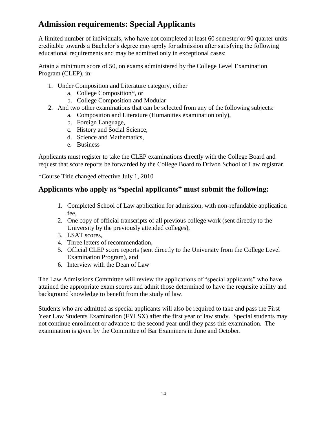## <span id="page-13-0"></span>**Admission requirements: Special Applicants**

A limited number of individuals, who have not completed at least 60 semester or 90 quarter units creditable towards a Bachelor's degree may apply for admission after satisfying the following educational requirements and may be admitted only in exceptional cases:

Attain a minimum score of 50, on exams administered by the College Level Examination Program (CLEP), in:

- 1. Under Composition and Literature category, either
	- a. College Composition\*, or
	- b. College Composition and Modular
- 2. And two other examinations that can be selected from any of the following subjects:
	- a. Composition and Literature (Humanities examination only),
	- b. Foreign Language,
	- c. History and Social Science,
	- d. Science and Mathematics,
	- e. Business

Applicants must register to take the CLEP examinations directly with the College Board and request that score reports be forwarded by the College Board to Drivon School of Law registrar.

\*Course Title changed effective July 1, 2010

## **Applicants who apply as "special applicants" must submit the following:**

- 1. Completed School of Law application for admission, with non-refundable application fee,
- 2. One copy of official transcripts of all previous college work (sent directly to the University by the previously attended colleges),
- 3. LSAT scores,
- 4. Three letters of recommendation,
- 5. Official CLEP score reports (sent directly to the University from the College Level Examination Program), and
- 6. Interview with the Dean of Law

The Law Admissions Committee will review the applications of "special applicants" who have attained the appropriate exam scores and admit those determined to have the requisite ability and background knowledge to benefit from the study of law.

Students who are admitted as special applicants will also be required to take and pass the First Year Law Students Examination (FYLSX) after the first year of law study. Special students may not continue enrollment or advance to the second year until they pass this examination. The examination is given by the Committee of Bar Examiners in June and October.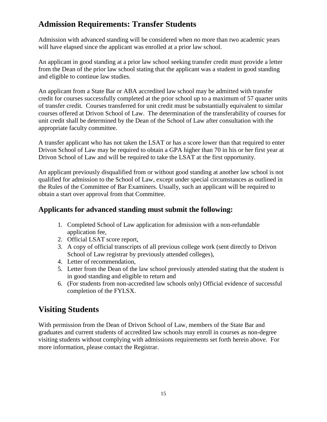## <span id="page-14-0"></span>**Admission Requirements: Transfer Students**

Admission with advanced standing will be considered when no more than two academic years will have elapsed since the applicant was enrolled at a prior law school.

An applicant in good standing at a prior law school seeking transfer credit must provide a letter from the Dean of the prior law school stating that the applicant was a student in good standing and eligible to continue law studies.

An applicant from a State Bar or ABA accredited law school may be admitted with transfer credit for courses successfully completed at the prior school up to a maximum of 57 quarter units of transfer credit. Courses transferred for unit credit must be substantially equivalent to similar courses offered at Drivon School of Law. The determination of the transferability of courses for unit credit shall be determined by the Dean of the School of Law after consultation with the appropriate faculty committee.

A transfer applicant who has not taken the LSAT or has a score lower than that required to enter Drivon School of Law may be required to obtain a GPA higher than 70 in his or her first year at Drivon School of Law and will be required to take the LSAT at the first opportunity.

An applicant previously disqualified from or without good standing at another law school is not qualified for admission to the School of Law, except under special circumstances as outlined in the Rules of the Committee of Bar Examiners. Usually, such an applicant will be required to obtain a start over approval from that Committee.

## **Applicants for advanced standing must submit the following:**

- 1. Completed School of Law application for admission with a non-refundable application fee,
- 2. Official LSAT score report,
- 3. A copy of official transcripts of all previous college work (sent directly to Drivon School of Law registrar by previously attended colleges),
- 4. Letter of recommendation,
- 5. Letter from the Dean of the law school previously attended stating that the student is in good standing and eligible to return and
- 6. (For students from non-accredited law schools only) Official evidence of successful completion of the FYLSX.

## <span id="page-14-1"></span>**Visiting Students**

With permission from the Dean of Drivon School of Law, members of the State Bar and graduates and current students of accredited law schools may enroll in courses as non-degree visiting students without complying with admissions requirements set forth herein above. For more information, please contact the Registrar.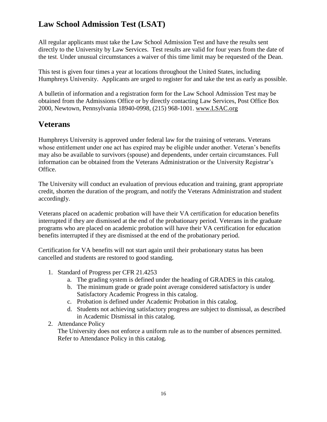## <span id="page-15-0"></span>**Law School Admission Test (LSAT)**

All regular applicants must take the Law School Admission Test and have the results sent directly to the University by Law Services. Test results are valid for four years from the date of the test. Under unusual circumstances a waiver of this time limit may be requested of the Dean.

This test is given four times a year at locations throughout the United States, including Humphreys University. Applicants are urged to register for and take the test as early as possible.

A bulletin of information and a registration form for the Law School Admission Test may be obtained from the Admissions Office or by directly contacting Law Services, Post Office Box 2000, Newtown, Pennsylvania 18940-0998, (215) 968-1001. [www.LSAC.org](http://www.lsac.org/)

## <span id="page-15-1"></span>**Veterans**

Humphreys University is approved under federal law for the training of veterans. Veterans whose entitlement under one act has expired may be eligible under another. Veteran's benefits may also be available to survivors (spouse) and dependents, under certain circumstances. Full information can be obtained from the Veterans Administration or the University Registrar's Office.

The University will conduct an evaluation of previous education and training, grant appropriate credit, shorten the duration of the program, and notify the Veterans Administration and student accordingly.

Veterans placed on academic probation will have their VA certification for education benefits interrupted if they are dismissed at the end of the probationary period. Veterans in the graduate programs who are placed on academic probation will have their VA certification for education benefits interrupted if they are dismissed at the end of the probationary period.

Certification for VA benefits will not start again until their probationary status has been cancelled and students are restored to good standing.

- 1. Standard of Progress per CFR 21.4253
	- a. The grading system is defined under the heading of GRADES in this catalog.
	- b. The minimum grade or grade point average considered satisfactory is under Satisfactory Academic Progress in this catalog.
	- c. Probation is defined under Academic Probation in this catalog.
	- d. Students not achieving satisfactory progress are subject to dismissal, as described in Academic Dismissal in this catalog.
- 2. Attendance Policy

The University does not enforce a uniform rule as to the number of absences permitted. Refer to Attendance Policy in this catalog.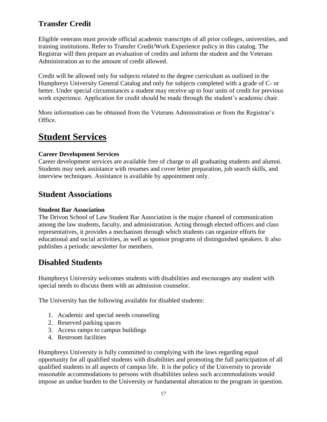## <span id="page-16-0"></span>**Transfer Credit**

Eligible veterans must provide official academic transcripts of all prior colleges, universities, and training institutions. Refer to Transfer Credit/Work Experience policy in this catalog. The Registrar will then prepare an evaluation of credits and inform the student and the Veterans Administration as to the amount of credit allowed.

Credit will be allowed only for subjects related to the degree curriculum as outlined in the Humphreys University General Catalog and only for subjects completed with a grade of C- or better. Under special circumstances a student may receive up to four units of credit for previous work experience. Application for credit should be made through the student's academic chair.

More information can be obtained from the Veterans Administration or from the Registrar's Office.

# <span id="page-16-1"></span>**Student Services**

## **Career Development Services**

Career development services are available free of charge to all graduating students and alumni. Students may seek assistance with resumes and cover letter preparation, job search skills, and interview techniques. Assistance is available by appointment only.

## <span id="page-16-2"></span>**Student Associations**

### **Student Bar Association**

The Drivon School of Law Student Bar Association is the major channel of communication among the law students, faculty, and administration. Acting through elected officers and class representatives, it provides a mechanism through which students can organize efforts for educational and social activities, as well as sponsor programs of distinguished speakers. It also publishes a periodic newsletter for members.

## <span id="page-16-3"></span>**Disabled Students**

Humphreys University welcomes students with disabilities and encourages any student with special needs to discuss them with an admission counselor.

The University has the following available for disabled students:

- 1. Academic and special needs counseling
- 2. Reserved parking spaces
- 3. Access ramps to campus buildings
- 4. Restroom facilities

Humphreys University is fully committed to complying with the laws regarding equal opportunity for all qualified students with disabilities and promoting the full participation of all qualified students in all aspects of campus life. It is the policy of the University to provide reasonable accommodations to persons with disabilities unless such accommodations would impose an undue burden to the University or fundamental alteration to the program in question.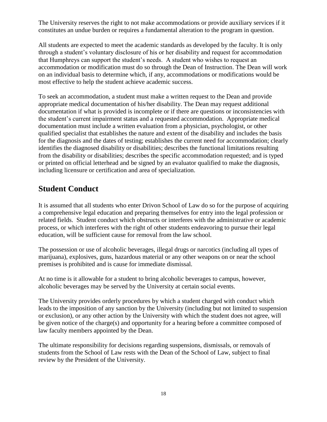The University reserves the right to not make accommodations or provide auxiliary services if it constitutes an undue burden or requires a fundamental alteration to the program in question.

All students are expected to meet the academic standards as developed by the faculty. It is only through a student's voluntary disclosure of his or her disability and request for accommodation that Humphreys can support the student's needs. A student who wishes to request an accommodation or modification must do so through the Dean of Instruction. The Dean will work on an individual basis to determine which, if any, accommodations or modifications would be most effective to help the student achieve academic success.

To seek an accommodation, a student must make a written request to the Dean and provide appropriate medical documentation of his/her disability. The Dean may request additional documentation if what is provided is incomplete or if there are questions or inconsistencies with the student's current impairment status and a requested accommodation. Appropriate medical documentation must include a written evaluation from a physician, psychologist, or other qualified specialist that establishes the nature and extent of the disability and includes the basis for the diagnosis and the dates of testing; establishes the current need for accommodation; clearly identifies the diagnosed disability or disabilities; describes the functional limitations resulting from the disability or disabilities; describes the specific accommodation requested; and is typed or printed on official letterhead and be signed by an evaluator qualified to make the diagnosis, including licensure or certification and area of specialization.

## <span id="page-17-0"></span>**Student Conduct**

It is assumed that all students who enter Drivon School of Law do so for the purpose of acquiring a comprehensive legal education and preparing themselves for entry into the legal profession or related fields. Student conduct which obstructs or interferes with the administrative or academic process, or which interferes with the right of other students endeavoring to pursue their legal education, will be sufficient cause for removal from the law school.

The possession or use of alcoholic beverages, illegal drugs or narcotics (including all types of marijuana), explosives, guns, hazardous material or any other weapons on or near the school premises is prohibited and is cause for immediate dismissal.

At no time is it allowable for a student to bring alcoholic beverages to campus, however, alcoholic beverages may be served by the University at certain social events.

The University provides orderly procedures by which a student charged with conduct which leads to the imposition of any sanction by the University (including but not limited to suspension or exclusion), or any other action by the University with which the student does not agree, will be given notice of the charge(s) and opportunity for a hearing before a committee composed of law faculty members appointed by the Dean.

The ultimate responsibility for decisions regarding suspensions, dismissals, or removals of students from the School of Law rests with the Dean of the School of Law, subject to final review by the President of the University.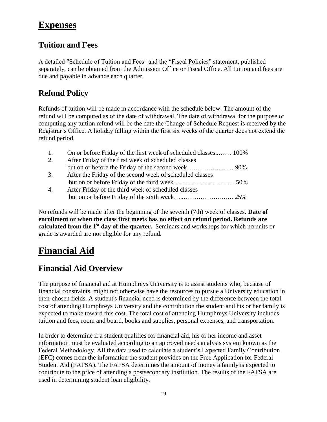## <span id="page-18-0"></span>**Expenses**

## <span id="page-18-1"></span>**Tuition and Fees**

A detailed "Schedule of Tuition and Fees" and the "Fiscal Policies" statement, published separately, can be obtained from the Admission Office or Fiscal Office. All tuition and fees are due and payable in advance each quarter.

## <span id="page-18-2"></span>**Refund Policy**

Refunds of tuition will be made in accordance with the schedule below. The amount of the refund will be computed as of the date of withdrawal. The date of withdrawal for the purpose of computing any tuition refund will be the date the Change of Schedule Request is received by the Registrar's Office. A holiday falling within the first six weeks of the quarter does not extend the refund period.

- 1. On or before Friday of the first week of scheduled classes..…… 100%
- 2. After Friday of the first week of scheduled classes but on or before the Friday of the second week………….……… 90%
- 3. After the Friday of the second week of scheduled classes but on or before Friday of the third week…….………..…………50% 4. After Friday of the third week of scheduled classes
	- but on or before Friday of the sixth week..................................25%

No refunds will be made after the beginning of the seventh (7th) week of classes. **Date of enrollment or when the class first meets has no effect on refund period. Refunds are calculated from the 1st day of the quarter.** Seminars and workshops for which no units or grade is awarded are not eligible for any refund.

# <span id="page-18-3"></span>**Financial Aid**

## <span id="page-18-4"></span>**Financial Aid Overview**

The purpose of financial aid at Humphreys University is to assist students who, because of financial constraints, might not otherwise have the resources to pursue a University education in their chosen fields. A student's financial need is determined by the difference between the total cost of attending Humphreys University and the contribution the student and his or her family is expected to make toward this cost. The total cost of attending Humphreys University includes tuition and fees, room and board, books and supplies, personal expenses, and transportation.

In order to determine if a student qualifies for financial aid, his or her income and asset information must be evaluated according to an approved needs analysis system known as the Federal Methodology. All the data used to calculate a student's Expected Family Contribution (EFC) comes from the information the student provides on the Free Application for Federal Student Aid (FAFSA). The FAFSA determines the amount of money a family is expected to contribute to the price of attending a postsecondary institution. The results of the FAFSA are used in determining student loan eligibility.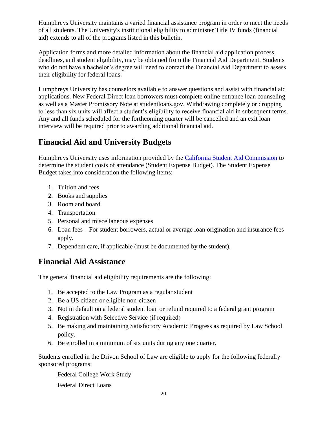Humphreys University maintains a varied financial assistance program in order to meet the needs of all students. The University's institutional eligibility to administer Title IV funds (financial aid) extends to all of the programs listed in this bulletin.

Application forms and more detailed information about the financial aid application process, deadlines, and student eligibility, may be obtained from the Financial Aid Department. Students who do not have a bachelor's degree will need to contact the Financial Aid Department to assess their eligibility for federal loans.

Humphreys University has counselors available to answer questions and assist with financial aid applications. New Federal Direct loan borrowers must complete online entrance loan counseling as well as a Master Promissory Note at studentloans.gov. Withdrawing completely or dropping to less than six units will affect a student's eligibility to receive financial aid in subsequent terms. Any and all funds scheduled for the forthcoming quarter will be cancelled and an exit loan interview will be required prior to awarding additional financial aid.

## <span id="page-19-0"></span>**Financial Aid and University Budgets**

Humphreys University uses information provided by the [California Student Aid Commission](http://www.csac.ca.gov/) to determine the student costs of attendance (Student Expense Budget). The Student Expense Budget takes into consideration the following items:

- 1. Tuition and fees
- 2. Books and supplies
- 3. Room and board
- 4. Transportation
- 5. Personal and miscellaneous expenses
- 6. Loan fees For student borrowers, actual or average loan origination and insurance fees apply.
- 7. Dependent care, if applicable (must be documented by the student).

## <span id="page-19-1"></span>**Financial Aid Assistance**

The general financial aid eligibility requirements are the following:

- 1. Be accepted to the Law Program as a regular student
- 2. Be a US citizen or eligible non-citizen
- 3. Not in default on a federal student loan or refund required to a federal grant program
- 4. Registration with Selective Service (if required)
- 5. Be making and maintaining Satisfactory Academic Progress as required by Law School policy.
- 6. Be enrolled in a minimum of six units during any one quarter.

Students enrolled in the Drivon School of Law are eligible to apply for the following federally sponsored programs:

Federal College Work Study

Federal Direct Loans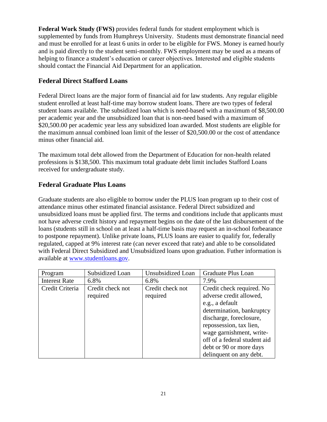**Federal Work Study (FWS)** provides federal funds for student employment which is supplemented by funds from Humphreys University. Students must demonstrate financial need and must be enrolled for at least 6 units in order to be eligible for FWS. Money is earned hourly and is paid directly to the student semi-monthly. FWS employment may be used as a means of helping to finance a student's education or career objectives. Interested and eligible students should contact the Financial Aid Department for an application.

## **Federal Direct Stafford Loans**

Federal Direct loans are the major form of financial aid for law students. Any regular eligible student enrolled at least half-time may borrow student loans. There are two types of federal student loans available. The subsidized loan which is need-based with a maximum of \$8,500.00 per academic year and the unsubsidized loan that is non-need based with a maximum of \$20,500.00 per academic year less any subsidized loan awarded. Most students are eligible for the maximum annual combined loan limit of the lesser of \$20,500.00 or the cost of attendance minus other financial aid.

The maximum total debt allowed from the Department of Education for non-health related professions is \$138,500. This maximum total graduate debt limit includes Stafford Loans received for undergraduate study.

## **Federal Graduate Plus Loans**

Graduate students are also eligible to borrow under the PLUS loan program up to their cost of attendance minus other estimated financial assistance. Federal Direct subsidized and unsubsidized loans must be applied first. The terms and conditions include that applicants must not have adverse credit history and repayment begins on the date of the last disbursement of the loans (students still in school on at least a half-time basis may request an in-school forbearance to postpone repayment). Unlike private loans, PLUS loans are easier to qualify for, federally regulated, capped at 9% interest rate (can never exceed that rate) and able to be consolidated with Federal Direct Subsidized and Unsubsidized loans upon graduation. Futher information is available at [www.studentloans.gov.](http://www.studentloans.gov/)

| Program              | Subsidized Loan  | Unsubsidized Loan | Graduate Plus Loan           |
|----------------------|------------------|-------------------|------------------------------|
| <b>Interest Rate</b> | 6.8%             | 6.8%              | 7.9%                         |
| Credit Criteria      | Credit check not | Credit check not  | Credit check required. No    |
|                      | required         | required          | adverse credit allowed,      |
|                      |                  |                   | e.g., a default              |
|                      |                  |                   | determination, bankruptcy    |
|                      |                  |                   | discharge, foreclosure,      |
|                      |                  |                   | repossession, tax lien,      |
|                      |                  |                   | wage garnishment, write-     |
|                      |                  |                   | off of a federal student aid |
|                      |                  |                   | debt or 90 or more days      |
|                      |                  |                   | delinquent on any debt.      |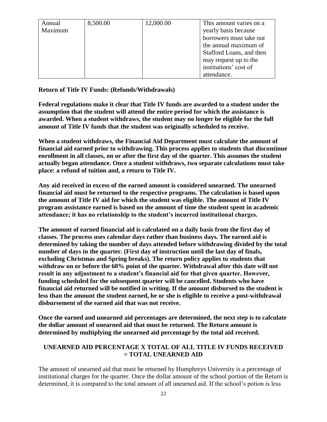| Annual  | 8,500.00 | 12,000.00 | This amount varies on a  |
|---------|----------|-----------|--------------------------|
| Maximum |          |           | yearly basis because     |
|         |          |           | borrowers must take out  |
|         |          |           | the annual maximum of    |
|         |          |           | Stafford Loans, and then |
|         |          |           | may request up to the    |
|         |          |           | institutions' cost of    |
|         |          |           | attendance.              |

**Return of Title IV Funds: (Refunds/Withdrawals)**

**Federal regulations make it clear that Title IV funds are awarded to a student under the assumption that the student will attend the entire period for which the assistance is awarded. When a student withdraws, the student may no longer be eligible for the full amount of Title IV funds that the student was originally scheduled to receive.** 

**When a student withdraws, the Financial Aid Department must calculate the amount of financial aid earned prior to withdrawing. This process applies to students that discontinue enrollment in all classes, on or after the first day of the quarter. This assumes the student actually began attendance. Once a student withdraws, two separate calculations must take place: a refund of tuition and, a return to Title IV.**

**Any aid received in excess of the earned amount is considered unearned. The unearned financial aid must be returned to the respective programs. The calculation is based upon the amount of Title IV aid for which the student was eligible. The amount of Title IV program assistance earned is based on the amount of time the student spent in academic attendance; it has no relationship to the student's incurred institutional charges.** 

**The amount of earned financial aid is calculated on a daily basis from the first day of classes. The process uses calendar days rather than business days. The earned aid is determined by taking the number of days attended before withdrawing divided by the total number of days in the quarter. (First day of instruction until the last day of finals, excluding Christmas and Spring breaks). The return policy applies to students that withdraw on or before the 60% point of the quarter. Withdrawal after this date will not result in any adjustment to a student's financial aid for that given quarter. However, funding scheduled for the subsequent quarter will be cancelled. Students who have financial aid returned will be notified in writing. If the amount disbursed to the student is less than the amount the student earned, he or she is eligible to receive a post-withdrawal disbursement of the earned aid that was not receive.** 

**Once the earned and unearned aid percentages are determined, the next step is to calculate the dollar amount of unearned aid that must be returned. The Return amount is determined by multiplying the unearned aid percentage by the total aid received.**

#### **UNEARNED AID PERCENTAGE X TOTAL OF ALL TITLE IV FUNDS RECEIVED = TOTAL UNEARNED AID**

The amount of unearned aid that must be returned by Humphreys University is a percentage of institutional charges for the quarter. Once the dollar amount of the school portion of the Return is determined, it is compared to the total amount of all unearned aid. If the school's potion is less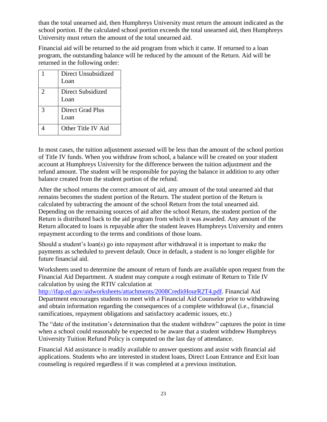than the total unearned aid, then Humphreys University must return the amount indicated as the school portion. If the calculated school portion exceeds the total unearned aid, then Humphreys University must return the amount of the total unearned aid.

Financial aid will be returned to the aid program from which it came. If returned to a loan program, the outstanding balance will be reduced by the amount of the Return. Aid will be returned in the following order:

|   | Direct Unsubsidized<br>Loan |
|---|-----------------------------|
| 2 | Direct Subsidized<br>Loan   |
| 3 | Direct Grad Plus<br>Loan    |
|   | Other Title IV Aid          |

In most cases, the tuition adjustment assessed will be less than the amount of the school portion of Title IV funds. When you withdraw from school, a balance will be created on your student account at Humphreys University for the difference between the tuition adjustment and the refund amount. The student will be responsible for paying the balance in addition to any other balance created from the student portion of the refund.

After the school returns the correct amount of aid, any amount of the total unearned aid that remains becomes the student portion of the Return. The student portion of the Return is calculated by subtracting the amount of the school Return from the total unearned aid. Depending on the remaining sources of aid after the school Return, the student portion of the Return is distributed back to the aid program from which it was awarded. Any amount of the Return allocated to loans is repayable after the student leaves Humphreys University and enters repayment according to the terms and conditions of those loans.

Should a student's loan(s) go into repayment after withdrawal it is important to make the payments as scheduled to prevent default. Once in default, a student is no longer eligible for future financial aid.

Worksheets used to determine the amount of return of funds are available upon request from the Financial Aid Department. A student may compute a rough estimate of Return to Title IV calculation by using the RTIV calculation at

[http://ifap.ed.gov/aidworksheets/attachments/2008CreditHourR2T4.pdf.](http://ifap.ed.gov/aidworksheets/attachments/2008CreditHourR2T4.pdf) Financial Aid Department encourages students to meet with a Financial Aid Counselor prior to withdrawing and obtain information regarding the consequences of a complete withdrawal (i.e., financial ramifications, repayment obligations and satisfactory academic issues, etc.)

The "date of the institution's determination that the student withdrew" captures the point in time when a school could reasonably be expected to be aware that a student withdrew Humphreys University Tuition Refund Policy is computed on the last day of attendance.

Financial Aid assistance is readily available to answer questions and assist with financial aid applications. Students who are interested in student loans, Direct Loan Entrance and Exit loan counseling is required regardless if it was completed at a previous institution.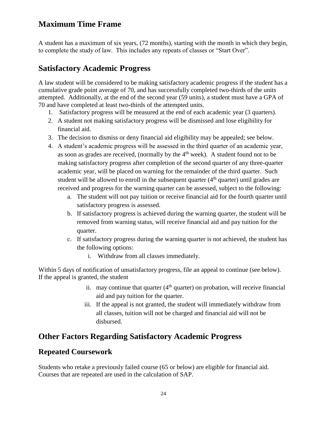## <span id="page-23-0"></span>**Maximum Time Frame**

A student has a maximum of six years, (72 months), starting with the month in which they begin, to complete the study of law. This includes any repeats of classes or "Start Over".

## <span id="page-23-1"></span>**Satisfactory Academic Progress**

A law student will be considered to be making satisfactory academic progress if the student has a cumulative grade point average of 70, and has successfully completed two-thirds of the units attempted. Additionally, at the end of the second year (59 units), a student must have a GPA of 70 and have completed at least two-thirds of the attempted units.

- 1. Satisfactory progress will be measured at the end of each academic year (3 quarters).
- 2. A student not making satisfactory progress will be dismissed and lose eligibility for financial aid.
- 3. The decision to dismiss or deny financial aid eligibility may be appealed; see below.
- 4. A student's academic progress will be assessed in the third quarter of an academic year, as soon as grades are received, (normally by the  $4<sup>th</sup>$  week). A student found not to be making satisfactory progress after completion of the second quarter of any three-quarter academic year, will be placed on warning for the remainder of the third quarter. Such student will be allowed to enroll in the subsequent quarter  $(4<sup>th</sup>$  quarter) until grades are received and progress for the warning quarter can be assessed, subject to the following:
	- a. The student will not pay tuition or receive financial aid for the fourth quarter until satisfactory progress is assessed.
	- b. If satisfactory progress is achieved during the warning quarter, the student will be removed from warning status, will receive financial aid and pay tuition for the quarter.
	- c. If satisfactory progress during the warning quarter is not achieved, the student has the following options:
		- i. Withdraw from all classes immediately.

Within 5 days of notification of unsatisfactory progress, file an appeal to continue (see below). If the appeal is granted, the student

- ii. may continue that quarter  $(4<sup>th</sup>$  quarter) on probation, will receive financial aid and pay tuition for the quarter.
- iii. If the appeal is not granted, the student will immediately withdraw from all classes, tuition will not be charged and financial aid will not be disbursed.

## <span id="page-23-2"></span>**Other Factors Regarding Satisfactory Academic Progress**

## <span id="page-23-3"></span>**Repeated Coursework**

Students who retake a previously failed course (65 or below) are eligible for financial aid. Courses that are repeated are used in the calculation of SAP.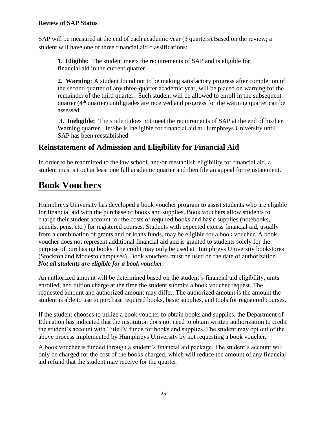## <span id="page-24-0"></span>**Review of SAP Status**

SAP will be measured at the end of each academic year (3 quarters).Based on the review; a student will have one of three financial aid classifications:

**1**. **Eligible:** The student meets the requirements of SAP and is eligible for financial aid in the current quarter.

**2. Warning:** A student found not to be making satisfactory progress after completion of the second quarter of any three-quarter academic year, will be placed on warning for the remainder of the third quarter. Such student will be allowed to enroll in the subsequent quarter ( $4<sup>th</sup>$  quarter) until grades are received and progress for the warning quarter can be assessed.

**3. Ineligible:** The student does not meet the requirements of SAP at the end of his/her Warning quarter. He/She is ineligible for financial aid at Humphreys University until SAP has been reestablished.

## <span id="page-24-1"></span>**Reinstatement of Admission and Eligibility for Financial Aid**

In order to be readmitted to the law school, and/or reestablish eligibility for financial aid, a student must sit out at least one full academic quarter and then file an appeal for reinstatement.

# <span id="page-24-2"></span>**Book Vouchers**

Humphreys University has developed a book voucher program to assist students who are eligible for financial aid with the purchase of books and supplies. Book vouchers allow students to charge their student account for the costs of required books and basic supplies (notebooks, pencils, pens, etc.) for registered courses. Students with expected excess financial aid, usually from a combination of grants and or loans funds, may be eligible for a book voucher. A book voucher does not represent additional financial aid and is granted to students solely for the purpose of purchasing books. The credit may only be used at Humphreys Universtiy bookstores (Stockton and Modesto campuses). Book vouchers must be used on the date of authorization. *Not all students are eligible for a book voucher*.

An authorized amount will be determined based on the student's financial aid eligibility, units enrolled, and tuition charge at the time the student submits a book voucher request. The requested amount and authorized amount may differ. The authorized amount is the amount the student is able to use to purchase required books, basic supplies, and tools for registered courses.

If the student chooses to utilize a book voucher to obtain books and supplies, the Department of Education has indicated that the institution does not need to obtain written authorization to credit the student's account with Title IV funds for books and supplies. The student may opt out of the above process implemented by Humphreys University by not requesting a book voucher.

A book voucher is funded through a student's financial aid package. The student's account will only be charged for the cost of the books charged, which will reduce the amount of any financial aid refund that the student may receive for the quarter.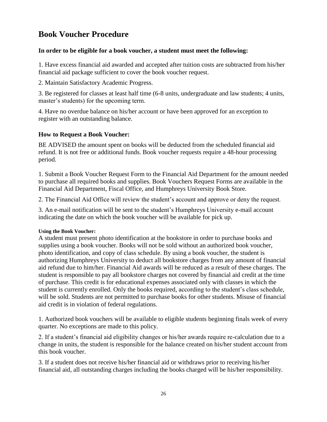## <span id="page-25-0"></span>**Book Voucher Procedure**

#### **In order to be eligible for a book voucher, a student must meet the following:**

1. Have excess financial aid awarded and accepted after tuition costs are subtracted from his/her financial aid package sufficient to cover the book voucher request.

2. Maintain Satisfactory Academic Progress.

3. Be registered for classes at least half time (6-8 units, undergraduate and law students; 4 units, master's students) for the upcoming term.

4. Have no overdue balance on his/her account or have been approved for an exception to register with an outstanding balance.

## **How to Request a Book Voucher:**

BE ADVISED the amount spent on books will be deducted from the scheduled financial aid refund. It is not free or additional funds. Book voucher requests require a 48-hour processing period.

1. Submit a Book Voucher Request Form to the Financial Aid Department for the amount needed to purchase all required books and supplies. Book Vouchers Request Forms are available in the Financial Aid Department, Fiscal Office, and Humphreys University Book Store.

2. The Financial Aid Office will review the student's account and approve or deny the request.

3. An e-mail notification will be sent to the student's Humphreys University e-mail account indicating the date on which the book voucher will be available for pick up.

#### **Using the Book Voucher:**

A student must present photo identification at the bookstore in order to purchase books and supplies using a book voucher. Books will not be sold without an authorized book voucher, photo identification, and copy of class schedule. By using a book voucher, the student is authorizing Humphreys University to deduct all bookstore charges from any amount of financial aid refund due to him/her. Financial Aid awards will be reduced as a result of these charges. The student is responsible to pay all bookstore charges not covered by financial aid credit at the time of purchase. This credit is for educational expenses associated only with classes in which the student is currently enrolled. Only the books required, according to the student's class schedule, will be sold. Students are not permitted to purchase books for other students. Misuse of financial aid credit is in violation of federal regulations.

1. Authorized book vouchers will be available to eligible students beginning finals week of every quarter. No exceptions are made to this policy.

2. If a student's financial aid eligibility changes or his/her awards require re-calculation due to a change in units, the student is responsible for the balance created on his/her student account from this book voucher.

3. If a student does not receive his/her financial aid or withdraws prior to receiving his/her financial aid, all outstanding charges including the books charged will be his/her responsibility.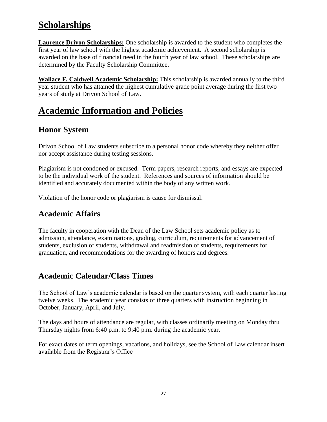# <span id="page-26-0"></span>**Scholarships**

**Laurence Drivon Scholarships:** One scholarship is awarded to the student who completes the first year of law school with the highest academic achievement. A second scholarship is awarded on the base of financial need in the fourth year of law school. These scholarships are determined by the Faculty Scholarship Committee.

**Wallace F. Caldwell Academic Scholarship:** This scholarship is awarded annually to the third year student who has attained the highest cumulative grade point average during the first two years of study at Drivon School of Law.

# <span id="page-26-1"></span>**Academic Information and Policies**

## <span id="page-26-2"></span>**Honor System**

Drivon School of Law students subscribe to a personal honor code whereby they neither offer nor accept assistance during testing sessions.

Plagiarism is not condoned or excused. Term papers, research reports, and essays are expected to be the individual work of the student. References and sources of information should be identified and accurately documented within the body of any written work.

Violation of the honor code or plagiarism is cause for dismissal.

## <span id="page-26-3"></span>**Academic Affairs**

The faculty in cooperation with the Dean of the Law School sets academic policy as to admission, attendance, examinations, grading, curriculum, requirements for advancement of students, exclusion of students, withdrawal and readmission of students, requirements for graduation, and recommendations for the awarding of honors and degrees.

## <span id="page-26-4"></span>**Academic Calendar/Class Times**

The School of Law's academic calendar is based on the quarter system, with each quarter lasting twelve weeks. The academic year consists of three quarters with instruction beginning in October, January, April, and July.

The days and hours of attendance are regular, with classes ordinarily meeting on Monday thru Thursday nights from 6:40 p.m. to 9:40 p.m. during the academic year.

For exact dates of term openings, vacations, and holidays, see the School of Law calendar insert available from the Registrar's Office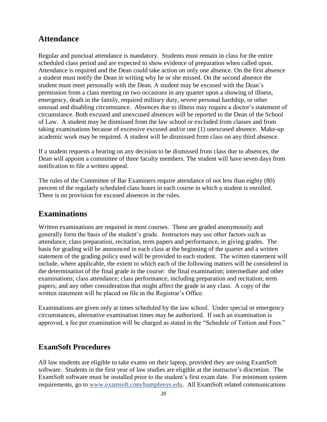## <span id="page-27-0"></span>**Attendance**

Regular and punctual attendance is mandatory. Students must remain in class for the entire scheduled class period and are expected to show evidence of preparation when called upon. Attendance is required and the Dean could take action on only one absence. On the first absence a student must notify the Dean in writing why he or she missed. On the second absence the student must meet personally with the Dean. A student may be excused with the Dean's permission from a class meeting on two occasions in any quarter upon a showing of illness, emergency, death in the family, required military duty, severe personal hardship, or other unusual and disabling circumstance. Absences due to illness may require a doctor's statement of circumstance. Both excused and unexcused absences will be reported to the Dean of the School of Law. A student may be dismissed from the law school or excluded from classes and from taking examinations because of excessive excused and/or one (1) unexcused absence. Make-up academic work may be required. A student will be dismissed from class on any third absence.

If a student requests a hearing on any decision to be dismissed from class due to absences, the Dean will appoint a committee of three faculty members. The student will have seven days from notification to file a written appeal.

The rules of the Committee of Bar Examiners require attendance of not less than eighty (80) percent of the regularly scheduled class hours in each course in which a student is enrolled. There is no provision for excused absences in the rules.

## <span id="page-27-1"></span>**Examinations**

Written examinations are required in most courses. These are graded anonymously and generally form the basis of the student's grade. Instructors may use other factors such as attendance, class preparation, recitation, term papers and performance, in giving grades. The basis for grading will be announced in each class at the beginning of the quarter and a written statement of the grading policy used will be provided to each student. The written statement will include, where applicable, the extent to which each of the following matters will be considered in the determination of the final grade in the course: the final examination; intermediate and other examinations; class attendance; class performance, including preparation and recitation; term papers; and any other consideration that might affect the grade in any class. A copy of the written statement will be placed on file in the Registrar's Office.

Examinations are given only at times scheduled by the law school. Under special or emergency circumstances, alternative examination times may be authorized. If such an examination is approved, a fee per examination will be charged as stated in the "Schedule of Tuition and Fees."

## <span id="page-27-2"></span>**ExamSoft Procedures**

All law students are eligible to take exams on their laptop, provided they are using ExamSoft software. Students in the first year of law studies are eligible at the instructor's discretion. The ExamSoft software must be installed prior to the student's first exam date. For minimum system requirements, go to [www.examsoft.com/humphreys.edu.](http://www.examsoft.com/humphreys.edu) All ExamSoft related communications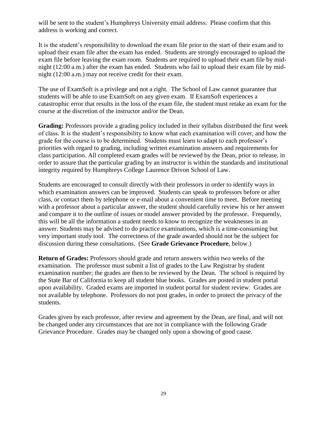will be sent to the student's Humphreys University email address. Please confirm that this address is working and correct.

It is the student's responsibility to download the exam file prior to the start of their exam and to upload their exam file after the exam has ended. Students are strongly encouraged to upload the exam file before leaving the exam room. Students are required to upload their exam file by midnight (12:00 a.m.) after the exam has ended. Students who fail to upload their exam file by midnight (12:00 a.m.) may not receive credit for their exam.

The use of ExamSoft is a privilege and not a right. The School of Law cannot guarantee that students will be able to use ExamSoft on any given exam. If ExamSoft experiences a catastrophic error that results in the loss of the exam file, the student must retake an exam for the course at the discretion of the instructor and/or the Dean.

**Grading:** Professors provide a grading policy included in their syllabus distributed the first week of class. It is the student's responsibility to know what each examination will cover, and how the grade for the course is to be determined. Students must learn to adapt to each professor's priorities with regard to grading, including written examination answers and requirements for class participation. All completed exam grades will be reviewed by the Dean, prior to release, in order to assure that the particular grading by an instructor is within the standards and institutional integrity required by Humphreys College Laurence Drivon School of Law.

Students are encouraged to consult directly with their professors in order to identify ways in which examination answers can be improved. Students can speak to professors before or after class, or contact them by telephone or e-mail about a convenient time to meet. Before meeting with a professor about a particular answer, the student should carefully review his or her answer and compare it to the outline of issues or model answer provided by the professor. Frequently, this will be all the information a student needs to know to recognize the weaknesses in an answer. Students may be advised to do practice examinations, which is a time-consuming but very important study tool. The correctness of the grade awarded should not be the subject for discussion during these consultations. (See **Grade Grievance Procedure**, below.)

**Return of Grades:** Professors should grade and return answers within two weeks of the examination. The professor must submit a list of grades to the Law Registrar by student examination number; the grades are then to be reviewed by the Dean. The school is required by the State Bar of California to keep all student blue books. Grades are posted in student portal upon availability. Graded exams are imported in student portal for student review. Grades are not available by telephone. Professors do not post grades, in order to protect the privacy of the students.

Grades given by each professor, after review and agreement by the Dean, are final, and will not be changed under any circumstances that are not in compliance with the following Grade Grievance Procedure. Grades may be changed only upon a showing of good cause.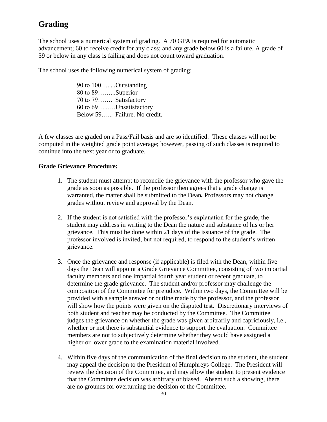## <span id="page-29-0"></span>**Grading**

The school uses a numerical system of grading. A 70 GPA is required for automatic advancement; 60 to receive credit for any class; and any grade below 60 is a failure. A grade of 59 or below in any class is failing and does not count toward graduation.

The school uses the following numerical system of grading:

90 to 100….....Outstanding 80 to 89……...Superior 70 to 79……. Satisfactory 60 to 69…...…Unsatisfactory Below 59…... Failure. No credit.

A few classes are graded on a Pass/Fail basis and are so identified. These classes will not be computed in the weighted grade point average; however, passing of such classes is required to continue into the next year or to graduate.

#### **Grade Grievance Procedure:**

- 1. The student must attempt to reconcile the grievance with the professor who gave the grade as soon as possible. If the professor then agrees that a grade change is warranted, the matter shall be submitted to the Dean*.* Professors may not change grades without review and approval by the Dean.
- 2. If the student is not satisfied with the professor's explanation for the grade, the student may address in writing to the Dean the nature and substance of his or her grievance. This must be done within 21 days of the issuance of the grade. The professor involved is invited, but not required, to respond to the student's written grievance.
- 3. Once the grievance and response (if applicable) is filed with the Dean, within five days the Dean will appoint a Grade Grievance Committee, consisting of two impartial faculty members and one impartial fourth year student or recent graduate, to determine the grade grievance. The student and/or professor may challenge the composition of the Committee for prejudice. Within two days, the Committee will be provided with a sample answer or outline made by the professor, and the professor will show how the points were given on the disputed test. Discretionary interviews of both student and teacher may be conducted by the Committee. The Committee judges the grievance on whether the grade was given arbitrarily and capriciously, i.e., whether or not there is substantial evidence to support the evaluation. Committee members are not to subjectively determine whether they would have assigned a higher or lower grade to the examination material involved.
- 4. Within five days of the communication of the final decision to the student, the student may appeal the decision to the President of Humphreys College. The President will review the decision of the Committee, and may allow the student to present evidence that the Committee decision was arbitrary or biased. Absent such a showing, there are no grounds for overturning the decision of the Committee.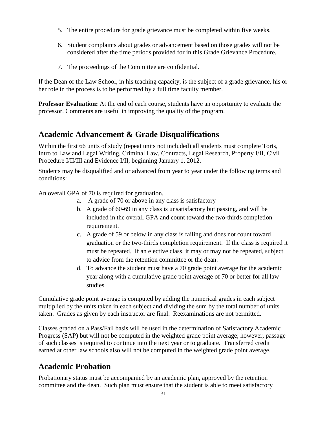- 5. The entire procedure for grade grievance must be completed within five weeks.
- 6. Student complaints about grades or advancement based on those grades will not be considered after the time periods provided for in this Grade Grievance Procedure.
- 7. The proceedings of the Committee are confidential.

If the Dean of the Law School, in his teaching capacity, is the subject of a grade grievance, his or her role in the process is to be performed by a full time faculty member.

**Professor Evaluation:** At the end of each course, students have an opportunity to evaluate the professor. Comments are useful in improving the quality of the program.

## <span id="page-30-0"></span>**Academic Advancement & Grade Disqualifications**

Within the first 66 units of study (repeat units not included) all students must complete Torts, Intro to Law and Legal Writing, Criminal Law, Contracts, Legal Research, Property I/II, Civil Procedure I/II/III and Evidence I/II, beginning January 1, 2012.

Students may be disqualified and or advanced from year to year under the following terms and conditions:

An overall GPA of 70 is required for graduation.

- a. A grade of 70 or above in any class is satisfactory
- b. A grade of 60-69 in any class is unsatisfactory but passing, and will be included in the overall GPA and count toward the two-thirds completion requirement.
- c. A grade of 59 or below in any class is failing and does not count toward graduation or the two-thirds completion requirement. If the class is required it must be repeated. If an elective class, it may or may not be repeated, subject to advice from the retention committee or the dean.
- d. To advance the student must have a 70 grade point average for the academic year along with a cumulative grade point average of 70 or better for all law studies.

Cumulative grade point average is computed by adding the numerical grades in each subject multiplied by the units taken in each subject and dividing the sum by the total number of units taken. Grades as given by each instructor are final. Reexaminations are not permitted.

Classes graded on a Pass/Fail basis will be used in the determination of Satisfactory Academic Progress (SAP) but will not be computed in the weighted grade point average; however, passage of such classes is required to continue into the next year or to graduate. Transferred credit earned at other law schools also will not be computed in the weighted grade point average.

## <span id="page-30-1"></span>**Academic Probation**

Probationary status must be accompanied by an academic plan, approved by the retention committee and the dean. Such plan must ensure that the student is able to meet satisfactory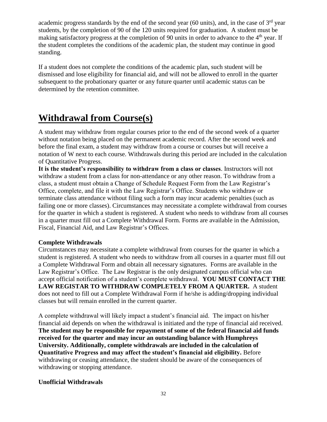academic progress standards by the end of the second year (60 units), and, in the case of  $3<sup>rd</sup>$  year students, by the completion of 90 of the 120 units required for graduation. A student must be making satisfactory progress at the completion of 90 units in order to advance to the  $4<sup>th</sup>$  year. If the student completes the conditions of the academic plan, the student may continue in good standing.

If a student does not complete the conditions of the academic plan, such student will be dismissed and lose eligibility for financial aid, and will not be allowed to enroll in the quarter subsequent to the probationary quarter or any future quarter until academic status can be determined by the retention committee.

# <span id="page-31-0"></span>**Withdrawal from Course(s)**

A student may withdraw from regular courses prior to the end of the second week of a quarter without notation being placed on the permanent academic record. After the second week and before the final exam, a student may withdraw from a course or courses but will receive a notation of W next to each course. Withdrawals during this period are included in the calculation of Quantitative Progress.

**It is the student's responsibility to withdraw from a class or classes**. Instructors will not withdraw a student from a class for non-attendance or any other reason. To withdraw from a class, a student must obtain a Change of Schedule Request Form from the Law Registrar's Office, complete, and file it with the Law Registrar's Office. Students who withdraw or terminate class attendance without filing such a form may incur academic penalties (such as failing one or more classes). Circumstances may necessitate a complete withdrawal from courses for the quarter in which a student is registered. A student who needs to withdraw from all courses in a quarter must fill out a Complete Withdrawal Form. Forms are available in the Admission, Fiscal, Financial Aid, and Law Registrar's Offices.

## **Complete Withdrawals**

Circumstances may necessitate a complete withdrawal from courses for the quarter in which a student is registered. A student who needs to withdraw from all courses in a quarter must fill out a Complete Withdrawal Form and obtain all necessary signatures. Forms are available in the Law Registrar's Office. The Law Registrar is the only designated campus official who can accept official notification of a student's complete withdrawal. **YOU MUST CONTACT THE LAW REGISTAR TO WITHDRAW COMPLETELY FROM A QUARTER.** A student does not need to fill out a Complete Withdrawal Form if he/she is adding/dropping individual classes but will remain enrolled in the current quarter.

A complete withdrawal will likely impact a student's financial aid. The impact on his/her financial aid depends on when the withdrawal is initiated and the type of financial aid received. **The student may be responsible for repayment of some of the federal financial aid funds received for the quarter and may incur an outstanding balance with Humphreys University. Additionally, complete withdrawals are included in the calculation of Quantitative Progress and may affect the student's financial aid eligibility.** Before withdrawing or ceasing attendance, the student should be aware of the consequences of withdrawing or stopping attendance.

#### **Unofficial Withdrawals**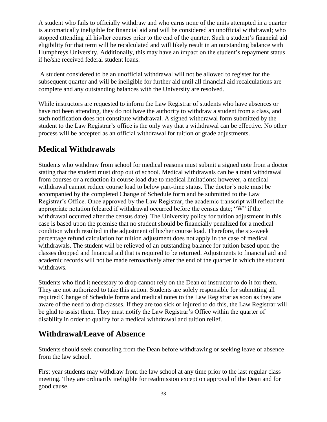A student who fails to officially withdraw and who earns none of the units attempted in a quarter is automatically ineligible for financial aid and will be considered an unofficial withdrawal; who stopped attending all his/her courses prior to the end of the quarter. Such a student's financial aid eligibility for that term will be recalculated and will likely result in an outstanding balance with Humphreys University. Additionally, this may have an impact on the student's repayment status if he/she received federal student loans.

A student considered to be an unofficial withdrawal will not be allowed to register for the subsequent quarter and will be ineligible for further aid until all financial aid recalculations are complete and any outstanding balances with the University are resolved.

While instructors are requested to inform the Law Registrar of students who have absences or have not been attending, they do not have the authority to withdraw a student from a class, and such notification does not constitute withdrawal. A signed withdrawal form submitted by the student to the Law Registrar's office is the only way that a withdrawal can be effective. No other process will be accepted as an official withdrawal for tuition or grade adjustments.

## <span id="page-32-0"></span>**Medical Withdrawals**

Students who withdraw from school for medical reasons must submit a signed note from a doctor stating that the student must drop out of school. Medical withdrawals can be a total withdrawal from courses or a reduction in course load due to medical limitations; however, a medical withdrawal cannot reduce course load to below part-time status. The doctor's note must be accompanied by the completed Change of Schedule form and be submitted to the Law Registrar's Office. Once approved by the Law Registrar, the academic transcript will reflect the appropriate notation (cleared if withdrawal occurred before the census date; "W" if the withdrawal occurred after the census date). The University policy for tuition adjustment in this case is based upon the premise that no student should be financially penalized for a medical condition which resulted in the adjustment of his/her course load. Therefore, the six-week percentage refund calculation for tuition adjustment does not apply in the case of medical withdrawals. The student will be relieved of an outstanding balance for tuition based upon the classes dropped and financial aid that is required to be returned. Adjustments to financial aid and academic records will not be made retroactively after the end of the quarter in which the student withdraws.

Students who find it necessary to drop cannot rely on the Dean or instructor to do it for them. They are not authorized to take this action. Students are solely responsible for submitting all required Change of Schedule forms and medical notes to the Law Registrar as soon as they are aware of the need to drop classes. If they are too sick or injured to do this, the Law Registrar will be glad to assist them. They must notify the Law Registrar's Office within the quarter of disability in order to qualify for a medical withdrawal and tuition relief.

## <span id="page-32-1"></span>**Withdrawal/Leave of Absence**

Students should seek counseling from the Dean before withdrawing or seeking leave of absence from the law school.

First year students may withdraw from the law school at any time prior to the last regular class meeting. They are ordinarily ineligible for readmission except on approval of the Dean and for good cause.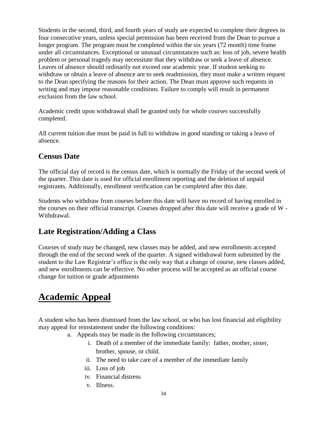Students in the second, third, and fourth years of study are expected to complete their degrees in four consecutive years, unless special permission has been received from the Dean to pursue a longer program. The program must be completed within the six years (72 month) time frame under all circumstances. Exceptional or unusual circumstances such as: loss of job, severe health problem or personal tragedy may necessitate that they withdraw or seek a leave of absence. Leaves of absence should ordinarily not exceed one academic year. If student seeking to withdraw or obtain a leave of absence are to seek readmission, they must make a written request to the Dean specifying the reasons for their action. The Dean must approve such requests in writing and may impose reasonable conditions. Failure to comply will result in permanent exclusion from the law school.

Academic credit upon withdrawal shall be granted only for whole courses successfully completed.

All current tuition due must be paid in full to withdraw in good standing or taking a leave of absence.

## <span id="page-33-0"></span>**Census Date**

The official day of record is the census date, which is normally the Friday of the second week of the quarter. This date is used for official enrollment reporting and the deletion of unpaid registrants. Additionally, enrollment verification can be completed after this date.

Students who withdraw from courses before this date will have no record of having enrolled in the courses on their official transcript. Courses dropped after this date will receive a grade of W - Withdrawal.

## <span id="page-33-1"></span>**Late Registration/Adding a Class**

Courses of study may be changed, new classes may be added, and new enrollments accepted through the end of the second week of the quarter. A signed withdrawal form submitted by the student to the Law Registrar's office is the only way that a change of course, new classes added, and new enrollments can be effective. No other process will be accepted as an official course change for tuition or grade adjustments

# <span id="page-33-2"></span>**Academic Appeal**

A student who has been dismissed from the law school, or who has lost financial aid eligibility may appeal for reinstatement under the following conditions:

- a. Appeals may be made in the following circumstances;
	- i. Death of a member of the immediate family: father, mother, sister, brother, spouse, or child.
	- ii. The need to take care of a member of the immediate family
	- iii. Loss of job
	- iv. Financial distress
	- v. Illness.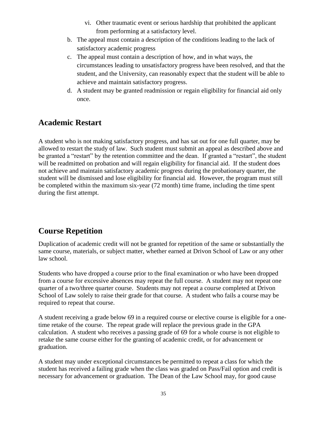- vi. Other traumatic event or serious hardship that prohibited the applicant from performing at a satisfactory level.
- b. The appeal must contain a description of the conditions leading to the lack of satisfactory academic progress
- c. The appeal must contain a description of how, and in what ways, the circumstances leading to unsatisfactory progress have been resolved, and that the student, and the University, can reasonably expect that the student will be able to achieve and maintain satisfactory progress.
- d. A student may be granted readmission or regain eligibility for financial aid only once.

## <span id="page-34-0"></span>**Academic Restart**

A student who is not making satisfactory progress, and has sat out for one full quarter, may be allowed to restart the study of law. Such student must submit an appeal as described above and be granted a "restart" by the retention committee and the dean. If granted a "restart", the student will be readmitted on probation and will regain eligibility for financial aid. If the student does not achieve and maintain satisfactory academic progress during the probationary quarter, the student will be dismissed and lose eligibility for financial aid. However, the program must still be completed within the maximum six-year (72 month) time frame, including the time spent during the first attempt.

## <span id="page-34-1"></span>**Course Repetition**

Duplication of academic credit will not be granted for repetition of the same or substantially the same course, materials, or subject matter, whether earned at Drivon School of Law or any other law school.

Students who have dropped a course prior to the final examination or who have been dropped from a course for excessive absences may repeat the full course. A student may not repeat one quarter of a two/three quarter course. Students may not repeat a course completed at Drivon School of Law solely to raise their grade for that course. A student who fails a course may be required to repeat that course.

A student receiving a grade below 69 in a required course or elective course is eligible for a onetime retake of the course. The repeat grade will replace the previous grade in the GPA calculation. A student who receives a passing grade of 69 for a whole course is not eligible to retake the same course either for the granting of academic credit, or for advancement or graduation.

A student may under exceptional circumstances be permitted to repeat a class for which the student has received a failing grade when the class was graded on Pass/Fail option and credit is necessary for advancement or graduation. The Dean of the Law School may, for good cause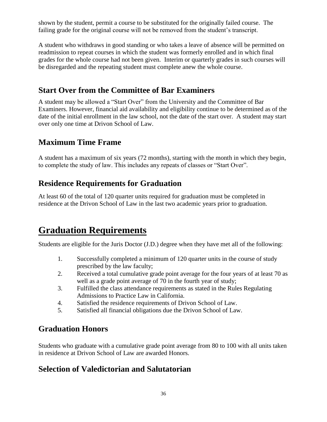shown by the student, permit a course to be substituted for the originally failed course. The failing grade for the original course will not be removed from the student's transcript.

A student who withdraws in good standing or who takes a leave of absence will be permitted on readmission to repeat courses in which the student was formerly enrolled and in which final grades for the whole course had not been given. Interim or quarterly grades in such courses will be disregarded and the repeating student must complete anew the whole course.

## <span id="page-35-0"></span>**Start Over from the Committee of Bar Examiners**

A student may be allowed a "Start Over" from the University and the Committee of Bar Examiners. However, financial aid availability and eligibility continue to be determined as of the date of the initial enrollment in the law school, not the date of the start over. A student may start over only one time at Drivon School of Law.

## <span id="page-35-1"></span>**Maximum Time Frame**

A student has a maximum of six years (72 months), starting with the month in which they begin, to complete the study of law. This includes any repeats of classes or "Start Over".

## <span id="page-35-2"></span>**Residence Requirements for Graduation**

At least 60 of the total of 120 quarter units required for graduation must be completed in residence at the Drivon School of Law in the last two academic years prior to graduation.

# **Graduation Requirements**

Students are eligible for the Juris Doctor (J.D.) degree when they have met all of the following:

- <span id="page-35-3"></span>1. Successfully completed a minimum of 120 quarter units in the course of study prescribed by the law faculty;
- 2. Received a total cumulative grade point average for the four years of at least 70 as well as a grade point average of 70 in the fourth year of study;
- 3. Fulfilled the class attendance requirements as stated in the Rules Regulating Admissions to Practice Law in California.
- 4. Satisfied the residence requirements of Drivon School of Law.
- 5. Satisfied all financial obligations due the Drivon School of Law.

## <span id="page-35-4"></span>**Graduation Honors**

Students who graduate with a cumulative grade point average from 80 to 100 with all units taken in residence at Drivon School of Law are awarded Honors.

## <span id="page-35-5"></span>**Selection of Valedictorian and Salutatorian**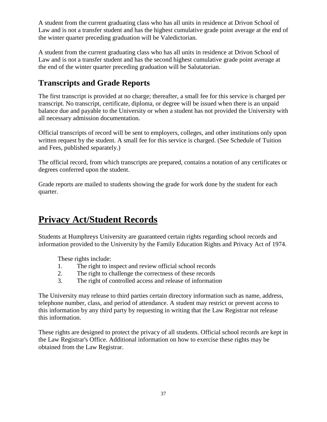A student from the current graduating class who has all units in residence at Drivon School of Law and is not a transfer student and has the highest cumulative grade point average at the end of the winter quarter preceding graduation will be Valedictorian.

A student from the current graduating class who has all units in residence at Drivon School of Law and is not a transfer student and has the second highest cumulative grade point average at the end of the winter quarter preceding graduation will be Salutatorian.

## <span id="page-36-0"></span>**Transcripts and Grade Reports**

The first transcript is provided at no charge; thereafter, a small fee for this service is charged per transcript. No transcript, certificate, diploma, or degree will be issued when there is an unpaid balance due and payable to the University or when a student has not provided the University with all necessary admission documentation.

Official transcripts of record will be sent to employers, colleges, and other institutions only upon written request by the student. A small fee for this service is charged. (See Schedule of Tuition and Fees, published separately.)

The official record, from which transcripts are prepared, contains a notation of any certificates or degrees conferred upon the student.

Grade reports are mailed to students showing the grade for work done by the student for each quarter.

# <span id="page-36-1"></span>**Privacy Act/Student Records**

Students at Humphreys University are guaranteed certain rights regarding school records and information provided to the University by the Family Education Rights and Privacy Act of 1974.

These rights include:

- 1. The right to inspect and review official school records
- 2. The right to challenge the correctness of these records
- 3. The right of controlled access and release of information

The University may release to third parties certain directory information such as name, address, telephone number, class, and period of attendance. A student may restrict or prevent access to this information by any third party by requesting in writing that the Law Registrar not release this information.

These rights are designed to protect the privacy of all students. Official school records are kept in the Law Registrar's Office. Additional information on how to exercise these rights may be obtained from the Law Registrar.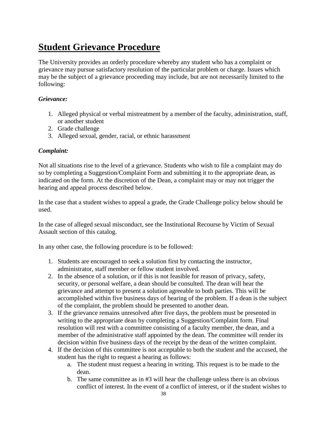# **Student Grievance Procedure**

The University provides an orderly procedure whereby any student who has a complaint or grievance may pursue satisfactory resolution of the particular problem or charge. Issues which may be the subject of a grievance proceeding may include, but are not necessarily limited to the following:

#### *Grievance:*

- 1. Alleged physical or verbal mistreatment by a member of the faculty, administration, staff, or another student
- 2. Grade challenge
- 3. Alleged sexual, gender, racial, or ethnic harassment

#### *Complaint:*

Not all situations rise to the level of a grievance. Students who wish to file a complaint may do so by completing a Suggestion/Complaint Form and submitting it to the appropriate dean, as indicated on the form. At the discretion of the Dean, a complaint may or may not trigger the hearing and appeal process described below.

In the case that a student wishes to appeal a grade, the Grade Challenge policy below should be used.

In the case of alleged sexual misconduct, see the Institutional Recourse by Victim of Sexual Assault section of this catalog.

In any other case, the following procedure is to be followed:

- 1. Students are encouraged to seek a solution first by contacting the instructor, administrator, staff member or fellow student involved.
- 2. In the absence of a solution, or if this is not feasible for reason of privacy, safety, security, or personal welfare, a dean should be consulted. The dean will hear the grievance and attempt to present a solution agreeable to both parties. This will be accomplished within five business days of hearing of the problem. If a dean is the subject of the complaint, the problem should be presented to another dean.
- 3. If the grievance remains unresolved after five days, the problem must be presented in writing to the appropriate dean by completing a Suggestion/Complaint form. Final resolution will rest with a committee consisting of a faculty member, the dean, and a member of the administrative staff appointed by the dean. The committee will render its decision within five business days of the receipt by the dean of the written complaint.
- 4. If the decision of this committee is not acceptable to both the student and the accused, the student has the right to request a hearing as follows:
	- a. The student must request a hearing in writing. This request is to be made to the dean.
	- b. The same committee as in #3 will hear the challenge unless there is an obvious conflict of interest. In the event of a conflict of interest, or if the student wishes to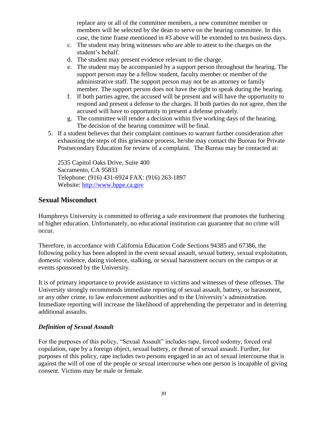replace any or all of the committee members, a new committee member or members will be selected by the dean to serve on the hearing committee. In this case, the time frame mentioned in #3 above will be extended to ten business days.

- c. The student may bring witnesses who are able to attest to the charges on the student's behalf.
- d. The student may present evidence relevant to the charge.
- e. The student may be accompanied by a support person throughout the hearing. The support person may be a fellow student, faculty member or member of the administrative staff. The support person may not be an attorney or family member. The support person does not have the right to speak during the hearing.
- f. If both parties agree, the accused will be present and will have the opportunity to respond and present a defense to the charges. If both parties do not agree, then the accused will have to opportunity to present a defense privately.
- g. The committee will render a decision within five working days of the hearing. The decision of the hearing committee will be final.
- 5. If a student believes that their complaint continues to warrant further consideration after exhausting the steps of this grievance process, he/she may contact the Bureau for Private Postsecondary Education for review of a complaint. The Bureau may be contacted at:

2535 Capitol Oaks Drive, Suite 400 Sacramento, CA 95833 Telephone: (916) 431-6924 FAX: (916) 263-1897 Website: [http://www.bppe.ca.gov](http://www.bppe.ca.gov/)

## <span id="page-38-0"></span>**Sexual Misconduct**

Humphreys University is committed to offering a safe environment that promotes the furthering of higher education. Unfortunately, no educational institution can guarantee that no crime will occur.

Therefore, in accordance with [California Education Code](http://ccr.oal.ca.gov/) Sections 94385 and 67386, the following policy has been adopted in the event sexual assault, sexual battery, sexual exploitation, domestic violence, dating violence, stalking, or sexual harassment occurs on the campus or at events sponsored by the University.

It is of primary importance to provide assistance to victims and witnesses of these offenses. The University strongly recommends immediate reporting of sexual assault, battery, or harassment, or any other crime, to law enforcement authorities and to the University's administration. Immediate reporting will increase the likelihood of apprehending the perpetrator and in deterring additional assaults.

## *Definition of Sexual Assault*

For the purposes of this policy, "Sexual Assault" includes rape, forced sodomy, forced oral copulation, rape by a foreign object, sexual battery, or threat of sexual assault. Further, for purposes of this policy, rape includes two persons engaged in an act of sexual intercourse that is against the will of one of the people or sexual intercourse when one person is incapable of giving consent. Victims may be male or female.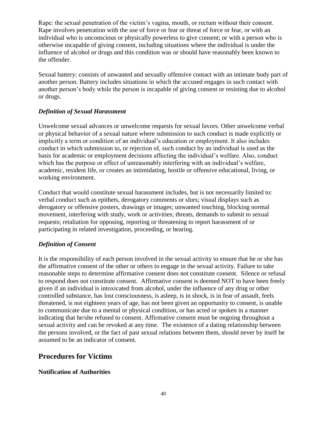Rape: the sexual penetration of the victim's vagina, mouth, or rectum without their consent. Rape involves penetration with the use of force or fear or threat of force or fear, or with an individual who is unconscious or physically powerless to give consent; or with a person who is otherwise incapable of giving consent, including situations where the individual is under the influence of alcohol or drugs and this condition was or should have reasonably been known to the offender.

Sexual battery: consists of unwanted and sexually offensive contact with an intimate body part of another person. Battery includes situations in which the accused engages in such contact with another person's body while the person is incapable of giving consent or resisting due to alcohol or drugs.

## *Definition of Sexual Harassment*

Unwelcome sexual advances or unwelcome requests for sexual favors. Other unwelcome verbal or physical behavior of a sexual nature where submission to such conduct is made explicitly or implicitly a term or condition of an individual's education or employment. It also includes conduct in which submission to, or rejection of, such conduct by an individual is used as the basis for academic or employment decisions affecting the individual's welfare. Also, conduct which has the purpose or effect of unreasonably interfering with an individual's welfare, academic, resident life, or creates an intimidating, hostile or offensive educational, living, or working environment.

Conduct that would constitute sexual harassment includes, but is not necessarily limited to: verbal conduct such as epithets, derogatory comments or slurs; visual displays such as derogatory or offensive posters, drawings or images; unwanted touching, blocking normal movement, interfering with study, work or activities; threats, demands to submit to sexual requests; retaliation for opposing, reporting or threatening to report harassment of or participating in related investigation, proceeding, or hearing.

## *Definition of Consent*

It is the responsibility of each person involved in the sexual activity to ensure that he or she has the affirmative consent of the other or others to engage in the sexual activity. Failure to take reasonable steps to determine affirmative consent does not constitute consent. Silence or refusal to respond does not constitute consent. Affirmative consent is deemed NOT to have been freely given if an individual is intoxicated from alcohol, under the influence of any drug or other controlled substance, has lost consciousness, is asleep, is in shock, is in fear of assault, feels threatened, is not eighteen years of age, has not been given an opportunity to consent, is unable to communicate due to a mental or physical condition, or has acted or spoken in a manner indicating that he/she refused to consent. Affirmative consent must be ongoing throughout a sexual activity and can be revoked at any time. The existence of a dating relationship between the persons involved, or the fact of past sexual relations between them, should never by itself be assumed to be an indicator of consent.

## **Procedures for Victims**

## **Notification of Authorities**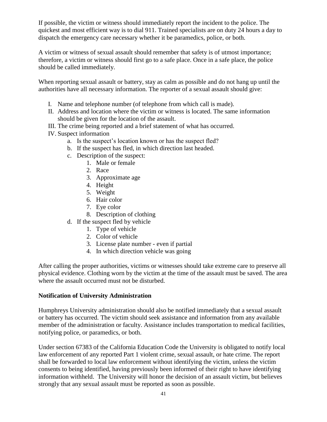If possible, the victim or witness should immediately report the incident to the police. The quickest and most efficient way is to dial 911. Trained specialists are on duty 24 hours a day to dispatch the emergency care necessary whether it be paramedics, police, or both.

A victim or witness of sexual assault should remember that safety is of utmost importance; therefore, a victim or witness should first go to a safe place. Once in a safe place, the police should be called immediately.

When reporting sexual assault or battery, stay as calm as possible and do not hang up until the authorities have all necessary information. The reporter of a sexual assault should give:

- I. Name and telephone number (of telephone from which call is made).
- II. Address and location where the victim or witness is located. The same information should be given for the location of the assault.
- III. The crime being reported and a brief statement of what has occurred.
- IV. Suspect information
	- a. Is the suspect's location known or has the suspect fled?
	- b. If the suspect has fled, in which direction last headed.
	- c. Description of the suspect:
		- 1. Male or female
			- 2. Race
			- 3. Approximate age
			- 4. Height
			- 5. Weight
			- 6. Hair color
			- 7. Eye color
			- 8. Description of clothing
	- d. If the suspect fled by vehicle
		- 1. Type of vehicle
		- 2. Color of vehicle
		- 3. License plate number even if partial
		- 4. In which direction vehicle was going

After calling the proper authorities, victims or witnesses should take extreme care to preserve all physical evidence. Clothing worn by the victim at the time of the assault must be saved. The area where the assault occurred must not be disturbed.

#### **Notification of University Administration**

Humphreys University administration should also be notified immediately that a sexual assault or battery has occurred. The victim should seek assistance and information from any available member of the administration or faculty. Assistance includes transportation to medical facilities, notifying police, or paramedics, or both.

Under section 67383 of the California Education Code the University is obligated to notify local law enforcement of any reported Part 1 violent crime, sexual assault, or hate crime. The report shall be forwarded to local law enforcement without identifying the victim, unless the victim consents to being identified, having previously been informed of their right to have identifying information withheld. The University will honor the decision of an assault victim, but believes strongly that any sexual assault must be reported as soon as possible.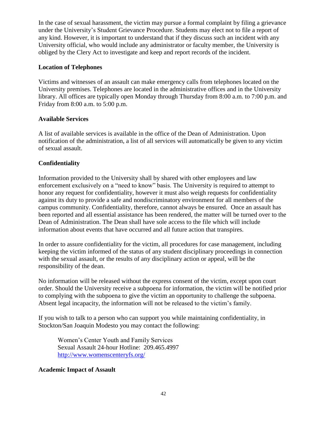In the case of sexual harassment, the victim may pursue a formal complaint by filing a grievance under the University's Student Grievance Procedure. Students may elect not to file a report of any kind. However, it is important to understand that if they discuss such an incident with any University official, who would include any administrator or faculty member, the University is obliged by the Clery Act to investigate and keep and report records of the incident.

### **Location of Telephones**

Victims and witnesses of an assault can make emergency calls from telephones located on the University premises. Telephones are located in the administrative offices and in the University library. All offices are typically open Monday through Thursday from 8:00 a.m. to 7:00 p.m. and Friday from 8:00 a.m. to 5:00 p.m.

#### **Available Services**

A list of available services is available in the office of the Dean of Administration. Upon notification of the administration, a list of all services will automatically be given to any victim of sexual assault.

## **Confidentiality**

Information provided to the University shall by shared with other employees and law enforcement exclusively on a "need to know" basis. The University is required to attempt to honor any request for confidentiality, however it must also weigh requests for confidentiality against its duty to provide a safe and nondiscriminatory environment for all members of the campus community. Confidentiality, therefore, cannot always be ensured. Once an assault has been reported and all essential assistance has been rendered, the matter will be turned over to the Dean of Administration. The Dean shall have sole access to the file which will include information about events that have occurred and all future action that transpires.

In order to assure confidentiality for the victim, all procedures for case management, including keeping the victim informed of the status of any student disciplinary proceedings in connection with the sexual assault, or the results of any disciplinary action or appeal, will be the responsibility of the dean.

No information will be released without the express consent of the victim, except upon court order. Should the University receive a subpoena for information, the victim will be notified prior to complying with the subpoena to give the victim an opportunity to challenge the subpoena. Absent legal incapacity, the information will not be released to the victim's family.

If you wish to talk to a person who can support you while maintaining confidentiality, in Stockton/San Joaquin Modesto you may contact the following:

Women's Center Youth and Family Services Sexual Assault 24-hour Hotline: 209.465.4997 <http://www.womenscenteryfs.org/>

#### **Academic Impact of Assault**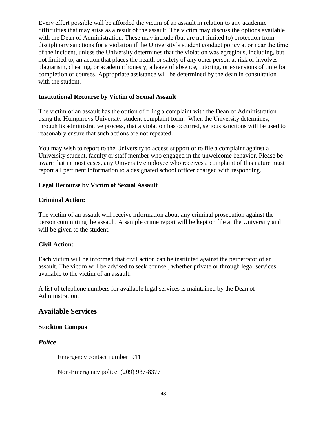Every effort possible will be afforded the victim of an assault in relation to any academic difficulties that may arise as a result of the assault. The victim may discuss the options available with the Dean of Administration. These may include (but are not limited to) protection from disciplinary sanctions for a violation if the University's student conduct policy at or near the time of the incident, unless the University determines that the violation was egregious, including, but not limited to, an action that places the health or safety of any other person at risk or involves plagiarism, cheating, or academic honesty, a leave of absence, tutoring, or extensions of time for completion of courses. Appropriate assistance will be determined by the dean in consultation with the student.

### **Institutional Recourse by Victim of Sexual Assault**

The victim of an assault has the option of filing a complaint with the Dean of Administration using the Humphreys University student complaint form. When the University determines, through its administrative process, that a violation has occurred, serious sanctions will be used to reasonably ensure that such actions are not repeated.

You may wish to report to the University to access support or to file a complaint against a University student, faculty or staff member who engaged in the unwelcome behavior. Please be aware that in most cases, any University employee who receives a complaint of this nature must report all pertinent information to a designated school officer charged with responding.

#### **Legal Recourse by Victim of Sexual Assault**

#### **Criminal Action:**

The victim of an assault will receive information about any criminal prosecution against the person committing the assault. A sample crime report will be kept on file at the University and will be given to the student.

## **Civil Action:**

Each victim will be informed that civil action can be instituted against the perpetrator of an assault. The victim will be advised to seek counsel, whether private or through legal services available to the victim of an assault.

A list of telephone numbers for available legal services is maintained by the Dean of Administration.

## **Available Services**

## **Stockton Campus**

*Police*

Emergency contact number: 911

Non-Emergency police: (209) 937-8377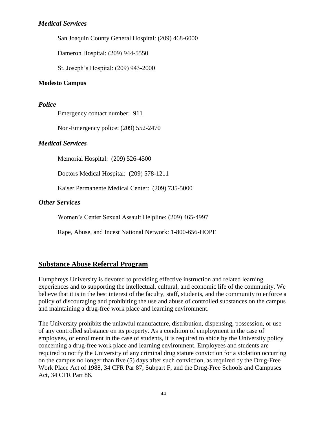## *Medical Services*

San Joaquin County General Hospital: (209) 468-6000

Dameron Hospital: (209) 944-5550

St. Joseph's Hospital: (209) 943-2000

#### **Modesto Campus**

### *Police*

Emergency contact number: 911

Non-Emergency police: (209) 552-2470

## *Medical Services*

Memorial Hospital: (209) 526-4500

Doctors Medical Hospital: (209) 578-1211

Kaiser Permanente Medical Center: (209) 735-5000

## *Other Services*

Women's Center Sexual Assault Helpline: (209) 465-4997

Rape, Abuse, and Incest National Network: 1-800-656-HOPE

## <span id="page-43-0"></span>**Substance Abuse Referral Program**

Humphreys University is devoted to providing effective instruction and related learning experiences and to supporting the intellectual, cultural, and economic life of the community. We believe that it is in the best interest of the faculty, staff, students, and the community to enforce a policy of discouraging and prohibiting the use and abuse of controlled substances on the campus and maintaining a drug-free work place and learning environment.

The University prohibits the unlawful manufacture, distribution, dispensing, possession, or use of any controlled substance on its property. As a condition of employment in the case of employees, or enrollment in the case of students, it is required to abide by the University policy concerning a drug-free work place and learning environment. Employees and students are required to notify the University of any criminal drug statute conviction for a violation occurring on the campus no longer than five (5) days after such conviction, as required by the Drug-Free Work Place Act of 1988, 34 CFR Par 87, Subpart F, and the Drug-Free Schools and Campuses Act, 34 CFR Part 86.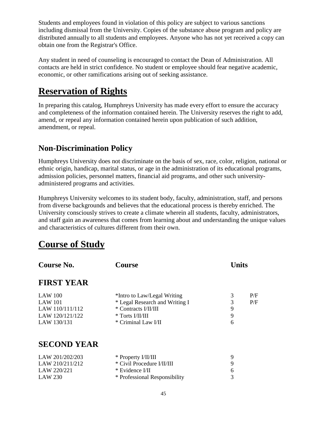Students and employees found in violation of this policy are subject to various sanctions including dismissal from the University. Copies of the substance abuse program and policy are distributed annually to all students and employees. Anyone who has not yet received a copy can obtain one from the Registrar's Office.

Any student in need of counseling is encouraged to contact the Dean of Administration. All contacts are held in strict confidence. No student or employee should fear negative academic, economic, or other ramifications arising out of seeking assistance.

# <span id="page-44-0"></span>**Reservation of Rights**

In preparing this catalog, Humphreys University has made every effort to ensure the accuracy and completeness of the information contained herein. The University reserves the right to add, amend, or repeal any information contained herein upon publication of such addition, amendment, or repeal.

## <span id="page-44-1"></span>**Non-Discrimination Policy**

Humphreys University does not discriminate on the basis of sex, race, color, religion, national or ethnic origin, handicap, marital status, or age in the administration of its educational programs, admission policies, personnel matters, financial aid programs, and other such universityadministered programs and activities.

Humphreys University welcomes to its student body, faculty, administration, staff, and persons from diverse backgrounds and believes that the educational process is thereby enriched. The University consciously strives to create a climate wherein all students, faculty, administrators, and staff gain an awareness that comes from learning about and understanding the unique values and characteristics of cultures different from their own.

# <span id="page-44-2"></span>**Course of Study**

<span id="page-44-4"></span><span id="page-44-3"></span>

| <b>Course No.</b>  | <b>Course</b>                   | <b>Units</b> |     |
|--------------------|---------------------------------|--------------|-----|
| <b>FIRST YEAR</b>  |                                 |              |     |
| <b>LAW 100</b>     | *Intro to Law/Legal Writing     | 3            | P/F |
| <b>LAW 101</b>     | * Legal Research and Writing I  | 3            | P/F |
| LAW 110/111/112    | * Contracts I/II/III            | 9            |     |
| LAW 120/121/122    | * Torts I/II/III                | 9            |     |
| LAW 130/131        | * Criminal Law I/II             | 6            |     |
| <b>SECOND YEAR</b> |                                 |              |     |
| LAW 201/202/203    | * Property I/II/III             | 9            |     |
| LAW 210/211/212    | * Civil Procedure <i>VIVIII</i> | 9            |     |
| LAW 220/221        | * Evidence I/II                 | 6            |     |
| <b>LAW 230</b>     | * Professional Responsibility   | 3            |     |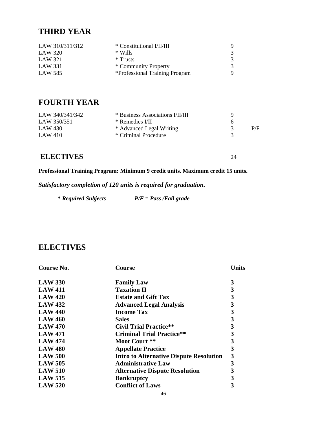## <span id="page-45-0"></span>**THIRD YEAR**

| LAW 310/311/312 | * Constitutional I/II/III      |   |
|-----------------|--------------------------------|---|
| LAW 320         | $*$ Wills                      | 3 |
| LAW 321         | $*$ Trusts                     | 3 |
| LAW 331         | * Community Property           | 3 |
| LAW 585         | *Professional Training Program | Q |

## <span id="page-45-1"></span>**FOURTH YEAR**

| LAW 340/341/342 | * Business Associations I/II/III |              |     |
|-----------------|----------------------------------|--------------|-----|
| LAW 350/351     | * Remedies I/II                  | <sub>n</sub> |     |
| LAW 430         | * Advanced Legal Writing         |              | P/F |
| LAW 410         | * Criminal Procedure             |              |     |
|                 |                                  |              |     |

## **ELECTIVES** 24

**Professional Training Program: Minimum 9 credit units. Maximum credit 15 units.**

*Satisfactory completion of 120 units is required for graduation.*

| <i><b>* Required Subjects</b></i> | $P/F = Pass / Fail grade$ |
|-----------------------------------|---------------------------|
|                                   |                           |

## <span id="page-45-2"></span>**ELECTIVES**

| <b>Course No.</b> | Course                                         | Units |
|-------------------|------------------------------------------------|-------|
| <b>LAW 330</b>    | <b>Family Law</b>                              | 3     |
| <b>LAW 411</b>    | <b>Taxation II</b>                             | 3     |
| <b>LAW 420</b>    | <b>Estate and Gift Tax</b>                     | 3     |
| <b>LAW 432</b>    | <b>Advanced Legal Analysis</b>                 | 3     |
| <b>LAW 440</b>    | <b>Income Tax</b>                              | 3     |
| <b>LAW 460</b>    | <b>Sales</b>                                   | 3     |
| <b>LAW 470</b>    | <b>Civil Trial Practice**</b>                  | 3     |
| <b>LAW 471</b>    | <b>Criminal Trial Practice**</b>               | 3     |
| <b>LAW 474</b>    | Moot Court **                                  | 3     |
| <b>LAW 480</b>    | <b>Appellate Practice</b>                      | 3     |
| <b>LAW 500</b>    | <b>Intro to Alternative Dispute Resolution</b> | 3     |
| <b>LAW 505</b>    | <b>Administrative Law</b>                      | 3     |
| <b>LAW 510</b>    | <b>Alternative Dispute Resolution</b>          | 3     |
| <b>LAW 515</b>    | <b>Bankruptcy</b>                              | 3     |
| <b>LAW 520</b>    | <b>Conflict of Laws</b>                        | 3     |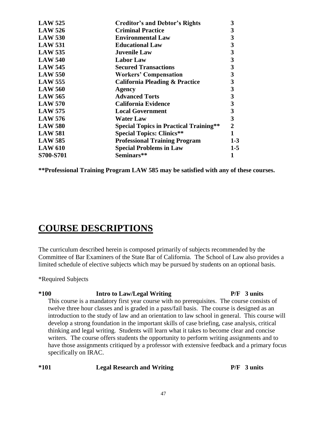| <b>LAW 525</b> | <b>Creditor's and Debtor's Rights</b>         | 3              |
|----------------|-----------------------------------------------|----------------|
| <b>LAW 526</b> | <b>Criminal Practice</b>                      | 3              |
| <b>LAW 530</b> | <b>Environmental Law</b>                      | 3              |
| <b>LAW 531</b> | <b>Educational Law</b>                        | 3              |
| <b>LAW 535</b> | <b>Juvenile Law</b>                           | 3              |
| <b>LAW 540</b> | <b>Labor Law</b>                              | 3              |
| <b>LAW 545</b> | <b>Secured Transactions</b>                   | 3              |
| <b>LAW 550</b> | <b>Workers' Compensation</b>                  | 3              |
| <b>LAW 555</b> | <b>California Pleading &amp; Practice</b>     | 3              |
| <b>LAW 560</b> | Agency                                        | 3              |
| <b>LAW 565</b> | <b>Advanced Torts</b>                         | $\mathbf{3}$   |
| <b>LAW 570</b> | <b>California Evidence</b>                    | $\mathbf{3}$   |
| <b>LAW 575</b> | <b>Local Government</b>                       | 3              |
| <b>LAW 576</b> | <b>Water Law</b>                              | 3              |
| <b>LAW 580</b> | <b>Special Topics in Practical Training**</b> | $\overline{2}$ |
| <b>LAW 581</b> | <b>Special Topics: Clinics**</b>              | 1              |
| <b>LAW 585</b> | <b>Professional Training Program</b>          | 1-3            |
| <b>LAW 610</b> | <b>Special Problems in Law</b>                | $1-5$          |
| S700-S701      | Seminars**                                    |                |
|                |                                               |                |

**\*\*Professional Training Program LAW 585 may be satisfied with any of these courses.**

# <span id="page-46-0"></span>**COURSE DESCRIPTIONS**

The curriculum described herein is composed primarily of subjects recommended by the Committee of Bar Examiners of the State Bar of California. The School of Law also provides a limited schedule of elective subjects which may be pursued by students on an optional basis.

\*Required Subjects

## **\*100 Intro to Law/Legal Writing P/F 3 units**

This course is a mandatory first year course with no prerequisites. The course consists of twelve three hour classes and is graded in a pass/fail basis. The course is designed as an introduction to the study of law and an orientation to law school in general. This course will develop a strong foundation in the important skills of case briefing, case analysis, critical thinking and legal writing. Students will learn what it takes to become clear and concise writers. The course offers students the opportunity to perform writing assignments and to have those assignments critiqued by a professor with extensive feedback and a primary focus specifically on IRAC.

| $*101$<br><b>Legal Research and Writing</b> | $P/F \quad 3 \text{ units}$ |
|---------------------------------------------|-----------------------------|
|---------------------------------------------|-----------------------------|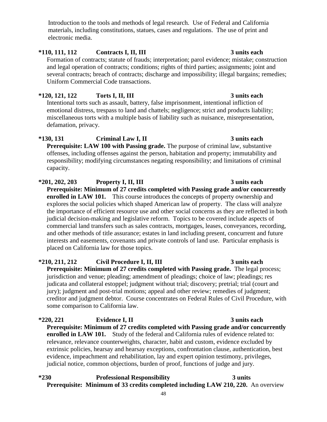Introduction to the tools and methods of legal research. Use of Federal and California materials, including constitutions, statues, cases and regulations. The use of print and electronic media.

## **\*110, 111, 112 Contracts I, II, III 3 units each**

Formation of contracts; statute of frauds; interpretation; parol evidence; mistake; construction and legal operation of contracts; conditions; rights of third parties; assignments; joint and several contracts; breach of contracts; discharge and impossibility; illegal bargains; remedies; Uniform Commercial Code transactions.

## **\*120, 121, 122 Torts I, II, III 3 units each**

Intentional torts such as assault, battery, false imprisonment, intentional infliction of emotional distress, trespass to land and chattels; negligence; strict and products liability; miscellaneous torts with a multiple basis of liability such as nuisance, misrepresentation, defamation, privacy.

## **\*130, 131 Criminal Law I, II 3 units each**

**Prerequisite: LAW 100 with Passing grade.** The purpose of criminal law, substantive offenses, including offenses against the person, habitation and property; immutability and responsibility; modifying circumstances negating responsibility; and limitations of criminal capacity.

**\*201, 202, 203 Property I, II, III 3 units each Prerequisite: Minimum of 27 credits completed with Passing grade and/or concurrently enrolled in LAW 101.** This course introduces the concepts of property ownership and explores the social policies which shaped American law of property. The class will analyze the importance of efficient resource use and other social concerns as they are reflected in both judicial decision-making and legislative reform. Topics to be covered include aspects of commercial land transfers such as sales contracts, mortgages, leases, conveyances, recording, and other methods of title assurance; estates in land including present, concurrent and future interests and easements, covenants and private controls of land use. Particular emphasis is placed on California law for those topics.

**\*210, 211, 212 Civil Procedure I, II, III 3 units each Prerequisite: Minimum of 27 credits completed with Passing grade.** The legal process; jurisdiction and venue; pleading; amendment of pleadings; choice of law; pleadings; res judicata and collateral estoppel; judgment without trial; discovery; pretrial; trial (court and jury); judgment and post-trial motions; appeal and other review; remedies of judgment; creditor and judgment debtor. Course concentrates on Federal Rules of Civil Procedure, with some comparison to California law.

## **\*220, 221 Evidence I, II 3 units each Prerequisite: Minimum of 27 credits completed with Passing grade and/or concurrently enrolled in LAW 101.** Study of the federal and California rules of evidence related to: relevance, relevance counterweights, character, habit and custom, evidence excluded by extrinsic policies, hearsay and hearsay exceptions, confrontation clause, authentication, best evidence, impeachment and rehabilitation, lay and expert opinion testimony, privileges, judicial notice, common objections, burden of proof, functions of judge and jury.

## **\*230 Professional Responsibility 3 units Prerequisite: Minimum of 33 credits completed including LAW 210, 220.** An overview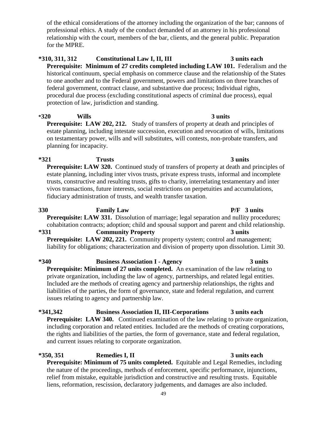of the ethical considerations of the attorney including the organization of the bar; cannons of professional ethics. A study of the conduct demanded of an attorney in his professional relationship with the court, members of the bar, clients, and the general public. Preparation for the MPRE.

## **\*310, 311, 312 Constitutional Law I, II, III** 3 units each **Prerequisite: Minimum of 27 credits completed including LAW 101.** Federalism and the historical continuum, special emphasis on commerce clause and the relationship of the States

to one another and to the Federal government, powers and limitations on three branches of federal government, contract clause, and substantive due process; Individual rights, procedural due process (excluding constitutional aspects of criminal due process), equal protection of law, jurisdiction and standing.

## **\*320 Wills 3 units**

**Prerequisite: LAW 202, 212.** Study of transfers of property at death and principles of estate planning, including intestate succession, execution and revocation of wills, limitations on testamentary power, wills and will substitutes, will contests, non-probate transfers, and planning for incapacity.

# **\*321 Trusts 3 units**

**Prerequisite: LAW 320.** Continued study of transfers of property at death and principles of estate planning, including inter vivos trusts, private express trusts, informal and incomplete trusts, constructive and resulting trusts, gifts to charity, interrelating testamentary and inter vivos transactions, future interests, social restrictions on perpetuities and accumulations, fiduciary administration of trusts, and wealth transfer taxation.

## **330 Family Law P/F 3 units Prerequisite: LAW 331.** Dissolution of marriage; legal separation and nullity procedures; cohabitation contracts; adoption; child and spousal support and parent and child relationship. **\*331 Community Property 3 units**

**Prerequisite: LAW 202, 221.** Community property system; control and management; liability for obligations; characterization and division of property upon dissolution. Limit 30.

## **\*340 Business Association I - Agency 3 units**

**Prerequisite: Minimum of 27 units completed.** An examination of the law relating to private organization, including the law of agency, partnerships, and related legal entities. Included are the methods of creating agency and partnership relationships, the rights and liabilities of the parties, the form of governance, state and federal regulation, and current issues relating to agency and partnership law.

## **\*341,342 Business Association II, III-Corporations 3 units each**

**Prerequisite: LAW 340.** Continued examination of the law relating to private organization, including corporation and related entities. Included are the methods of creating corporations, the rights and liabilities of the parties, the form of governance, state and federal regulation, and current issues relating to corporate organization.

## **\*350, 351 Remedies I, II 3 units each**

**Prerequisite: Minimum of 75 units completed.** Equitable and Legal Remedies, including the nature of the proceedings, methods of enforcement, specific performance, injunctions, relief from mistake, equitable jurisdiction and constructive and resulting trusts. Equitable liens, reformation, rescission, declaratory judgements, and damages are also included.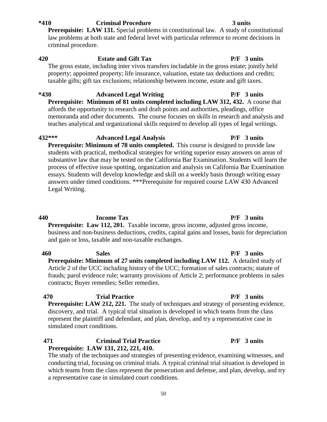**\*410 Criminal Procedure 3 units** 

**Prerequisite: LAW 131.** Special problems in constitutional law. A study of constitutional law problems at both state and federal level with particular reference to recent decisions in criminal procedure.

#### **420 Estate and Gift Tax P/F 3 units**  The gross estate, including inter vivos transfers includable in the gross estate; jointly held

property; appointed property; life insurance, valuation, estate tax deductions and credits; taxable gifts; gift tax exclusions; relationship between income, estate and gift taxes.

## **\*430 Advanced Legal Writing P/F 3 units Prerequisite: Minimum of 81 units completed including LAW 312, 432.** A course that affords the opportunity to research and draft points and authorities, pleadings, office memoranda and other documents. The course focuses on skills in research and analysis and teaches analytical and organizational skills required to develop all types of legal writings.

**432\*\*\* Advanced Legal Analysis P/F 3 units Prerequisite: Minimum of 78 units completed.** This course is designed to provide law students with practical, methodical strategies for writing superior essay answers on areas of substantive law that may be tested on the California Bar Examination. Students will learn the process of effective issue spotting, organization and analysis on California Bar Examination essays. Students will develop knowledge and skill on a weekly basis through writing essay answers under timed conditions. \*\*\*Prerequisite for required course LAW 430 Advanced Legal Writing.

## **440 Income Tax P/F 3 units**

**Prerequisite: Law 112, 201.** Taxable income, gross income, adjusted gross income, business and non-business deductions, credits, capital gains and losses, basis for depreciation and gain or loss, taxable and non-taxable exchanges.

**460 Sales P/F 3 units Prerequisite: Minimum of 27 units completed including LAW 112.** A detailed study of Article 2 of the UCC including history of the UCC; formation of sales contracts; statute of frauds; parol evidence rule; warranty provisions of Article 2; performance problems in sales contracts; Buyer remedies; Seller remedies.

#### **470 Trial Practice P/F 3 units Prerequisite: LAW 212, 221.** The study of techniques and strategy of presenting evidence, discovery, and trial. A typical trial situation is developed in which teams from the class represent the plaintiff and defendant, and plan, develop, and try a representative case in simulated court conditions.

## **471 Criminal Trial Practice P/F 3 units Prerequisite: LAW 131, 212, 221, 410.**

The study of the techniques and strategies of presenting evidence, examining witnesses, and conducting trial, focusing on criminal trials. A typical criminal trial situation is developed in which teams from the class represent the prosecution and defense, and plan, develop, and try a representative case in simulated court conditions.

#### 50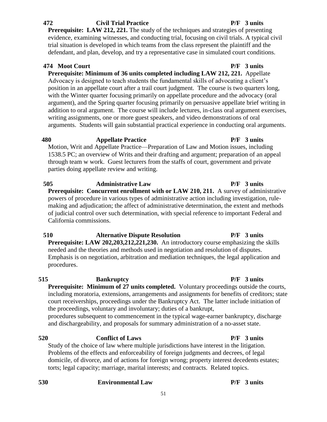#### **472 Civil Trial Practice P/F 3 units**

**Prerequisite: LAW 212, 221.** The study of the techniques and strategies of presenting evidence, examining witnesses, and conducting trial, focusing on civil trials. A typical civil trial situation is developed in which teams from the class represent the plaintiff and the defendant, and plan, develop, and try a representative case in simulated court conditions.

## **474 Moot Court P/F 3 units**

**Prerequisite: Minimum of 36 units completed including LAW 212, 221.** Appellate Advocacy is designed to teach students the fundamental skills of advocating a client's position in an appellate court after a trail court judgment. The course is two quarters long, with the Winter quarter focusing primarily on appellate procedure and the advocacy (oral argument), and the Spring quarter focusing primarily on persuasive appellate brief writing in addition to oral argument. The course will include lectures, in-class oral argument exercises, writing assignments, one or more guest speakers, and video demonstrations of oral arguments. Students will gain substantial practical experience in conducting oral arguments.

 **480 Appellate Practice P/F 3 units**

Motion, Writ and Appellate Practice—Preparation of Law and Motion issues, including 1538.5 PC; an overview of Writs and their drafting and argument; preparation of an appeal through team w work. Guest lecturers from the staffs of court, government and private parties doing appellate review and writing.

 **505 Administrative Law P/F 3 units Prerequisite: Concurrent enrollment with or LAW 210, 211.** A survey of administrative powers of procedure in various types of administrative action including investigation, rulemaking and adjudication; the affect of administrative determination, the extent and methods of judicial control over such determination, with special reference to important Federal and California commissions.

 **510 Alternative Dispute Resolution P/F 3 units Prerequisite: LAW 202,203,212,221,230.** An introductory course emphasizing the skills needed and the theories and methods used in negotiation and resolution of disputes. Emphasis is on negotiation, arbitration and mediation techniques, the legal application and procedures.

## **515 Bankruptcy P/F 3 units**

**Prerequisite: Minimum of 27 units completed.** Voluntary proceedings outside the courts, including moratoria, extensions, arrangements and assignments for benefits of creditors; state court receiverships, proceedings under the Bankruptcy Act. The latter include initiation of the proceedings, voluntary and involuntary; duties of a bankrupt, procedures subsequent to commencement in the typical wage-earner bankruptcy, discharge and dischargeability, and proposals for summary administration of a no-asset state.

## **520 Conflict of Laws P/F 3 units**

Study of the choice of law where multiple jurisdictions have interest in the litigation. Problems of the effects and enforceability of foreign judgments and decrees, of legal domicile, of divorce, and of actions for foreign wrong; property interest decedents estates; torts; legal capacity; marriage, marital interests; and contracts. Related topics.

| 530 | <b>Environmental Law</b> |
|-----|--------------------------|
|     |                          |

# **530 Environmental Law P/F 3 units**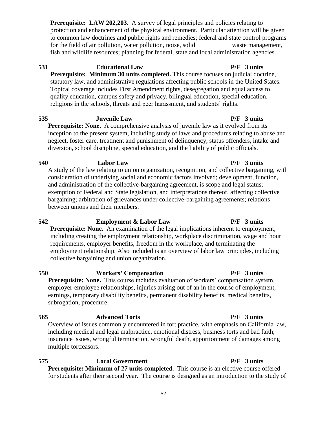**Prerequisite: LAW 202,203.** A survey of legal principles and policies relating to protection and enhancement of the physical environment. Particular attention will be given to common law doctrines and public rights and remedies; federal and state control programs for the field of air pollution, water pollution, noise, solid waste management, fish and wildlife resources; planning for federal, state and local administration agencies.

**531 Educational Law P/F 3 units Prerequisite: Minimum 30 units completed.** This course focuses on judicial doctrine, statutory law, and administrative regulations affecting public schools in the United States. Topical coverage includes First Amendment rights, desegregation and equal access to quality education, campus safety and privacy, bilingual education, special education, religions in the schools, threats and peer harassment, and students' rights.

**535 Juvenile Law P/F 3 units** 

**Prerequisite: None.** A comprehensive analysis of juvenile law as it evolved from its inception to the present system, including study of laws and procedures relating to abuse and neglect, foster care, treatment and punishment of delinquency, status offenders, intake and diversion, school discipline, special education, and the liability of public officials.

**540 Labor Law P/F 3 units** A study of the law relating to union organization, recognition, and collective bargaining, with consideration of underlying social and economic factors involved; development, function, and administration of the collective-bargaining agreement, is scope and legal status; exemption of Federal and State legislation, and interpretations thereof, affecting collective bargaining; arbitration of grievances under collective-bargaining agreements; relations between unions and their members.

**542 Employment & Labor Law P/F 3 units Prerequisite: None.** An examination of the legal implications inherent to employment, including creating the employment relationship, workplace discrimination, wage and hour requirements, employer benefits, freedom in the workplace, and terminating the employment relationship. Also included is an overview of labor law principles, including

**550 Workers' Compensation P/F 3 units Prerequisite: None.** This course includes evaluation of workers' compensation system, employer-employee relationships, injuries arising out of an in the course of employment, earnings, temporary disability benefits, permanent disability benefits, medical benefits, subrogation, procedure.

#### **565 Advanced Torts P/F 3 units** Overview of issues commonly encountered in tort practice, with emphasis on California law, including medical and legal malpractice, emotional distress, business torts and bad faith, insurance issues, wrongful termination, wrongful death, apportionment of damages among multiple tortfeasors.

**575 Local Government P/F 3 units Prerequisite: Minimum of 27 units completed.** This course is an elective course offered for students after their second year. The course is designed as an introduction to the study of

## collective bargaining and union organization.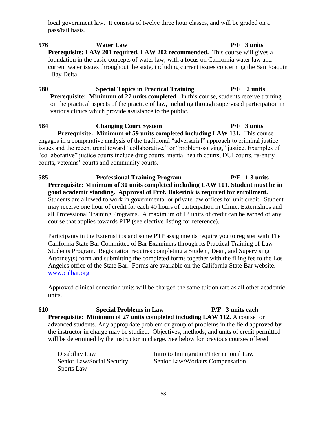local government law. It consists of twelve three hour classes, and will be graded on a pass/fail basis.

## **576 Water Law P/F 3 units Prerequisite: LAW 201 required, LAW 202 recommended.** This course will gives a foundation in the basic concepts of water law, with a focus on California water law and current water issues throughout the state, including current issues concerning the San Joaquin –Bay Delta.

**580 Special Topics in Practical Training P/F 2 units Prerequisite: Minimum of 27 units completed.** In this course, students receive training on the practical aspects of the practice of law, including through supervised participation in various clinics which provide assistance to the public.

**584 Changing Court System P/F 3 units Prerequisite: Minimum of 59 units completed including LAW 131.** This course engages in a comparative analysis of the traditional "adversarial" approach to criminal justice issues and the recent trend toward "collaborative," or "problem-solving," justice. Examples of "collaborative" justice courts include drug courts, mental health courts, DUI courts, re-entry courts, veterans' courts and community courts.

**585 Professional Training Program P/F 1-3 units Prerequisite: Minimum of 30 units completed including LAW 101. Student must be in good academic standing. Approval of Prof. Bakerink is required for enrollment.** Students are allowed to work in governmental or private law offices for unit credit. Student may receive one hour of credit for each 40 hours of participation in Clinic, Externships and all Professional Training Programs. A maximum of 12 units of credit can be earned of any course that applies towards PTP (see elective listing for reference).

Participants in the Externships and some PTP assignments require you to register with The California State Bar Committee of Bar Examiners through its Practical Training of Law Students Program. Registration requires completing a Student, Dean, and Supervising Attorney(s) form and submitting the completed forms together with the filing fee to the Los Angeles office of the State Bar. Forms are available on the California State Bar website. [www.calbar.org.](http://www.calbar.org/)

Approved clinical education units will be charged the same tuition rate as all other academic units.

**610 Special Problems in Law P/F 3 units each Prerequisite: Minimum of 27 units completed including LAW 112.** A course for advanced students. Any appropriate problem or group of problems in the field approved by the instructor in charge may be studied. Objectives, methods, and units of credit permitted will be determined by the instructor in charge. See below for previous courses offered:

| Disability Law             | Intro to Immigration/International Law |
|----------------------------|----------------------------------------|
| Senior Law/Social Security | Senior Law/Workers Compensation        |
| <b>Sports Law</b>          |                                        |